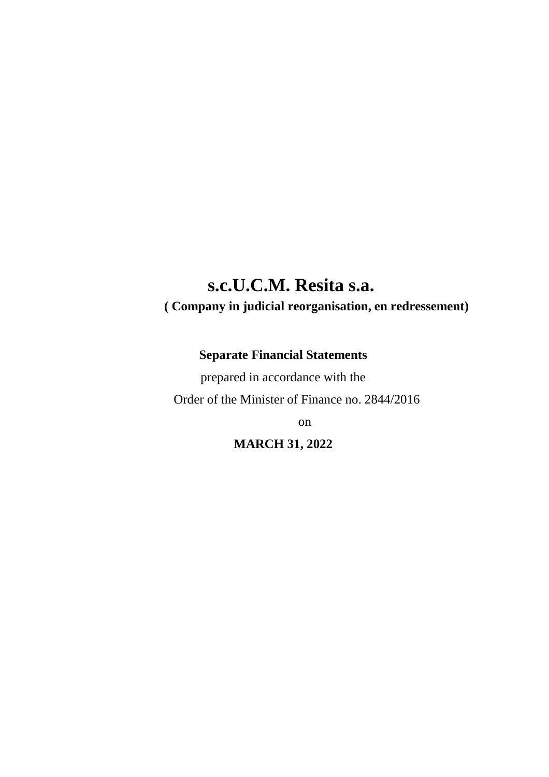# **s.c.U.C.M. Resita s.a.**

# **( Company in judicial reorganisation, en redressement)**

# **Separate Financial Statements**

prepared in accordance with the Order of the Minister of Finance no. 2844/2016

on

**MARCH 31, 2022**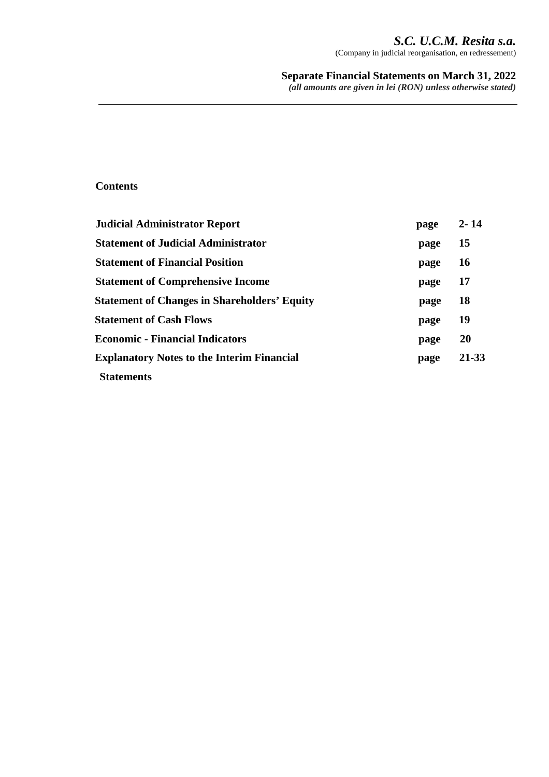# *S.C. U.C.M. Resita s.a.*

(Company in judicial reorganisation, en redressement)

# **Separate Financial Statements on March 31, 2022**

*(all amounts are given in lei (RON) unless otherwise stated)*

# **Contents**

| <b>Judicial Administrator Report</b>                | page | $2 - 14$  |
|-----------------------------------------------------|------|-----------|
| <b>Statement of Judicial Administrator</b>          | page | 15        |
| <b>Statement of Financial Position</b>              | page | <b>16</b> |
| <b>Statement of Comprehensive Income</b>            | page | 17        |
| <b>Statement of Changes in Shareholders' Equity</b> | page | <b>18</b> |
| <b>Statement of Cash Flows</b>                      | page | 19        |
| <b>Economic - Financial Indicators</b>              | page | <b>20</b> |
| <b>Explanatory Notes to the Interim Financial</b>   | page | 21-33     |
| <b>Statements</b>                                   |      |           |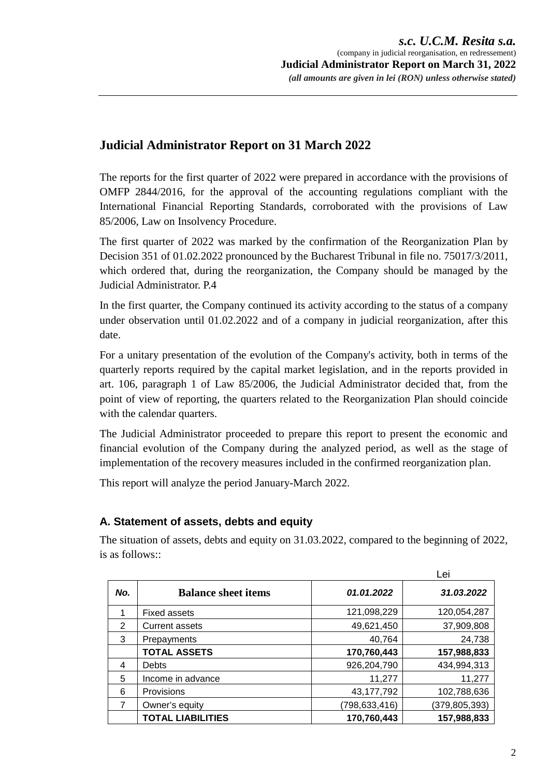# **Judicial Administrator Report on 31 March 2022**

The reports for the first quarter of 2022 were prepared in accordance with the provisions of OMFP 2844/2016, for the approval of the accounting regulations compliant with the International Financial Reporting Standards, corroborated with the provisions of Law 85/2006, Law on Insolvency Procedure.

The first quarter of 2022 was marked by the confirmation of the Reorganization Plan by Decision 351 of 01.02.2022 pronounced by the Bucharest Tribunal in file no. 75017/3/2011, which ordered that, during the reorganization, the Company should be managed by the Judicial Administrator. P.4

In the first quarter, the Company continued its activity according to the status of a company under observation until 01.02.2022 and of a company in judicial reorganization, after this date.

For a unitary presentation of the evolution of the Company's activity, both in terms of the quarterly reports required by the capital market legislation, and in the reports provided in art. 106, paragraph 1 of Law 85/2006, the Judicial Administrator decided that, from the point of view of reporting, the quarters related to the Reorganization Plan should coincide with the calendar quarters.

The Judicial Administrator proceeded to prepare this report to present the economic and financial evolution of the Company during the analyzed period, as well as the stage of implementation of the recovery measures included in the confirmed reorganization plan.

This report will analyze the period January-March 2022.

# **A. Statement of assets, debts and equity**

The situation of assets, debts and equity on 31.03.2022, compared to the beginning of 2022, is as follows::

|     |                            |                 | Lei             |
|-----|----------------------------|-----------------|-----------------|
| No. | <b>Balance sheet items</b> | 01.01.2022      | 31.03.2022      |
|     | Fixed assets               | 121,098,229     | 120,054,287     |
| 2   | <b>Current assets</b>      | 49,621,450      | 37,909,808      |
| 3   | Prepayments                | 40,764          | 24,738          |
|     | <b>TOTAL ASSETS</b>        | 170,760,443     | 157,988,833     |
| 4   | <b>Debts</b>               | 926,204,790     | 434,994,313     |
| 5   | Income in advance          | 11,277          | 11,277          |
| 6   | Provisions                 | 43, 177, 792    | 102,788,636     |
| 7   | Owner's equity             | (798, 633, 416) | (379, 805, 393) |
|     | <b>TOTAL LIABILITIES</b>   | 170,760,443     | 157,988,833     |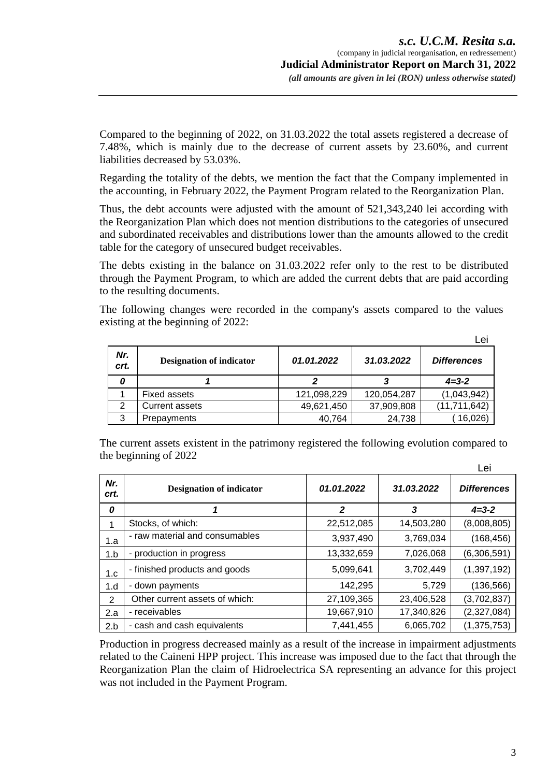Compared to the beginning of 2022, on 31.03.2022 the total assets registered a decrease of 7.48%, which is mainly due to the decrease of current assets by 23.60%, and current liabilities decreased by 53.03%.

Regarding the totality of the debts, we mention the fact that the Company implemented in the accounting, in February 2022, the Payment Program related to the Reorganization Plan.

Thus, the debt accounts were adjusted with the amount of 521,343,240 lei according with the Reorganization Plan which does not mention distributions to the categories of unsecured and subordinated receivables and distributions lower than the amounts allowed to the credit table for the category of unsecured budget receivables.

The debts existing in the balance on 31.03.2022 refer only to the rest to be distributed through the Payment Program, to which are added the current debts that are paid according to the resulting documents.

The following changes were recorded in the company's assets compared to the values existing at the beginning of 2022:

|             |                                 |             |             | Lei                |
|-------------|---------------------------------|-------------|-------------|--------------------|
| Nr.<br>crt. | <b>Designation of indicator</b> | 01.01.2022  | 31.03.2022  | <b>Differences</b> |
| 0           |                                 |             |             | $4 = 3 - 2$        |
|             | <b>Fixed assets</b>             | 121,098,229 | 120,054,287 | (1,043,942)        |
| 2           | Current assets                  | 49,621,450  | 37,909,808  | (11, 711, 642)     |
| 3           | Prepayments                     | 40,764      | 24,738      | 16,026)            |

The current assets existent in the patrimony registered the following evolution compared to the beginning of 2022

|             |                                 |            |            | Lei                |
|-------------|---------------------------------|------------|------------|--------------------|
| Nr.<br>crt. | <b>Designation of indicator</b> | 01.01.2022 | 31.03.2022 | <b>Differences</b> |
| 0           |                                 | 2          | 3          | $4 = 3 - 2$        |
|             | Stocks, of which:               | 22,512,085 | 14,503,280 | (8,008,805)        |
| 1.a         | - raw material and consumables  | 3,937,490  | 3,769,034  | (168, 456)         |
| 1.b         | - production in progress        | 13,332,659 | 7,026,068  | (6,306,591)        |
| 1.c         | - finished products and goods   | 5,099,641  | 3,702,449  | (1, 397, 192)      |
| 1.d         | - down payments                 | 142,295    | 5,729      | (136, 566)         |
| 2           | Other current assets of which:  | 27,109,365 | 23,406,528 | (3,702,837)        |
| 2.a         | - receivables                   | 19,667,910 | 17,340,826 | (2,327,084)        |
| 2.b         | - cash and cash equivalents     | 7,441,455  | 6,065,702  | (1, 375, 753)      |

Production in progress decreased mainly as a result of the increase in impairment adjustments related to the Caineni HPP project. This increase was imposed due to the fact that through the Reorganization Plan the claim of Hidroelectrica SA representing an advance for this project was not included in the Payment Program.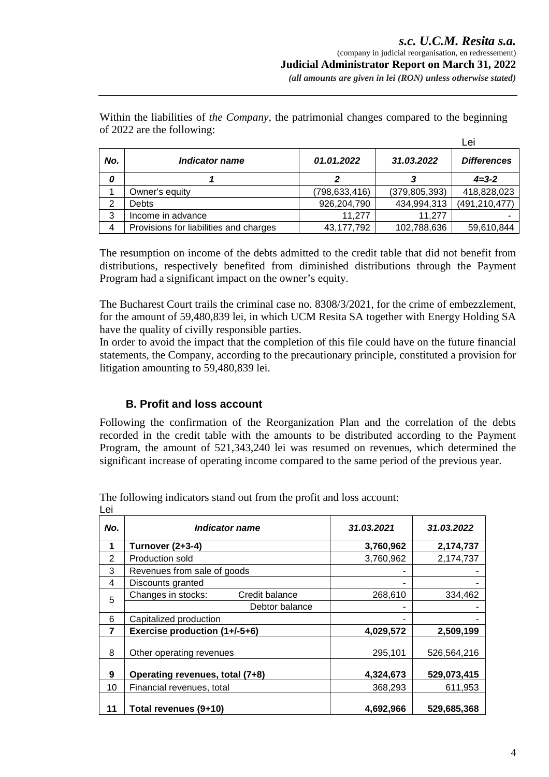|     |                                        |               |                 | Lei                |
|-----|----------------------------------------|---------------|-----------------|--------------------|
| No. | Indicator name                         | 01.01.2022    | 31.03.2022      | <b>Differences</b> |
| 0   |                                        |               |                 | $4 = 3 - 2$        |
|     | Owner's equity                         | (798,633,416) | (379, 805, 393) | 418,828,023        |
| 2   | <b>Debts</b>                           | 926,204,790   | 434,994,313     | (491, 210, 477)    |
| 3   | Income in advance                      | 11,277        | 11,277          |                    |
| 4   | Provisions for liabilities and charges | 43, 177, 792  | 102,788,636     | 59,610,844         |

Within the liabilities of *the Company*, the patrimonial changes compared to the beginning of 2022 are the following:

The resumption on income of the debts admitted to the credit table that did not benefit from distributions, respectively benefited from diminished distributions through the Payment Program had a significant impact on the owner's equity.

The Bucharest Court trails the criminal case no. 8308/3/2021, for the crime of embezzlement, for the amount of 59,480,839 lei, in which UCM Resita SA together with Energy Holding SA have the quality of civilly responsible parties.

In order to avoid the impact that the completion of this file could have on the future financial statements, the Company, according to the precautionary principle, constituted a provision for litigation amounting to 59,480,839 lei.

# **B. Profit and loss account**

Following the confirmation of the Reorganization Plan and the correlation of the debts recorded in the credit table with the amounts to be distributed according to the Payment Program, the amount of 521,343,240 lei was resumed on revenues, which determined the significant increase of operating income compared to the same period of the previous year.

The following indicators stand out from the profit and loss account:  $L$ ci

| ᄕ   |                                      |            |             |
|-----|--------------------------------------|------------|-------------|
| No. | Indicator name                       | 31.03.2021 | 31.03.2022  |
| 1   | <b>Turnover (2+3-4)</b>              | 3,760,962  | 2,174,737   |
| 2   | Production sold                      | 3,760,962  | 2,174,737   |
| 3   | Revenues from sale of goods          |            |             |
| 4   | Discounts granted                    |            |             |
| 5   | Changes in stocks:<br>Credit balance | 268,610    | 334,462     |
|     | Debtor balance                       |            |             |
| 6   | Capitalized production               |            |             |
| 7   | Exercise production (1+/-5+6)        | 4,029,572  | 2,509,199   |
| 8   | Other operating revenues             | 295,101    | 526,564,216 |
| 9   | Operating revenues, total (7+8)      | 4,324,673  | 529,073,415 |
| 10  | Financial revenues, total            | 368,293    | 611,953     |
| 11  | Total revenues (9+10)                | 4,692,966  | 529,685,368 |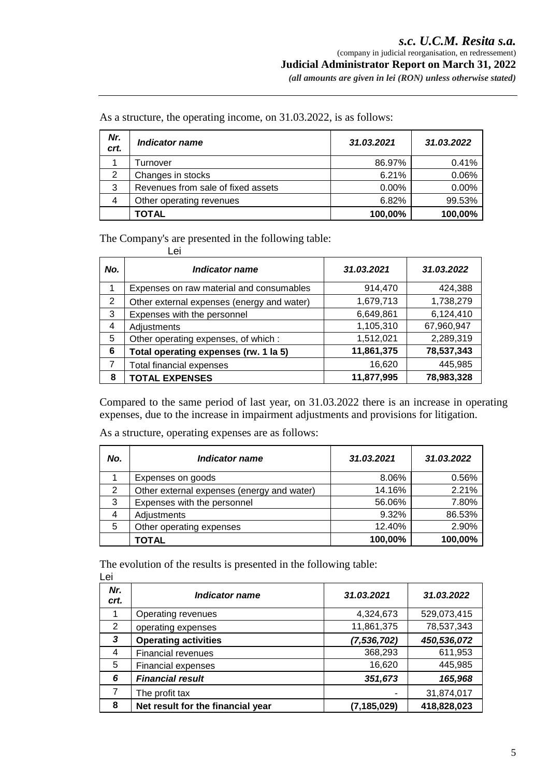*(all amounts are given in lei (RON) unless otherwise stated)* 

As a structure, the operating income, on 31.03.2022, is as follows:

| Nr.<br>crt. | Indicator name                     | 31.03.2021 | 31.03.2022 |
|-------------|------------------------------------|------------|------------|
|             | Turnover                           | 86.97%     | 0.41%      |
| 2           | Changes in stocks                  | 6.21%      | 0.06%      |
| 3           | Revenues from sale of fixed assets | 0.00%      | 0.00%      |
| 4           | Other operating revenues           | 6.82%      | 99.53%     |
|             | TOTAL                              | 100,00%    | 100,00%    |

The Company's are presented in the following table:

|     | Lei                                        |            |            |
|-----|--------------------------------------------|------------|------------|
| No. | Indicator name                             | 31.03.2021 | 31.03.2022 |
| 1   | Expenses on raw material and consumables   | 914,470    | 424,388    |
| 2   | Other external expenses (energy and water) | 1,679,713  | 1,738,279  |
| 3   | Expenses with the personnel                | 6,649,861  | 6,124,410  |
| 4   | Adjustments                                | 1,105,310  | 67,960,947 |
| 5   | Other operating expenses, of which:        | 1,512,021  | 2,289,319  |
| 6   | Total operating expenses (rw. 1 la 5)      | 11,861,375 | 78,537,343 |
| 7   | <b>Total financial expenses</b>            | 16,620     | 445,985    |
| 8   | <b>TOTAL EXPENSES</b>                      | 11,877,995 | 78,983,328 |

Compared to the same period of last year, on 31.03.2022 there is an increase in operating expenses, due to the increase in impairment adjustments and provisions for litigation.

As a structure, operating expenses are as follows:

| No. | Indicator name                             | 31.03.2021 | 31.03.2022 |
|-----|--------------------------------------------|------------|------------|
|     | Expenses on goods                          | 8.06%      | 0.56%      |
| 2   | Other external expenses (energy and water) | 14.16%     | 2.21%      |
| 3   | Expenses with the personnel                | 56.06%     | 7.80%      |
|     | Adjustments                                | 9.32%      | 86.53%     |
| 5   | Other operating expenses                   | 12.40%     | 2.90%      |
|     | TOTAL                                      | 100,00%    | 100,00%    |

The evolution of the results is presented in the following table: Lei

| ∼           |                                   |               |             |
|-------------|-----------------------------------|---------------|-------------|
| Nr.<br>crt. | Indicator name                    | 31.03.2021    | 31.03.2022  |
|             | Operating revenues                | 4,324,673     | 529,073,415 |
| 2           | operating expenses                | 11,861,375    | 78,537,343  |
| 3           | <b>Operating activities</b>       | (7, 536, 702) | 450,536,072 |
| 4           | <b>Financial revenues</b>         | 368,293       | 611,953     |
| 5           | <b>Financial expenses</b>         | 16,620        | 445,985     |
| 6           | <b>Financial result</b>           | 351,673       | 165,968     |
| 7           | The profit tax                    |               | 31,874,017  |
| 8           | Net result for the financial year | (7, 185, 029) | 418,828,023 |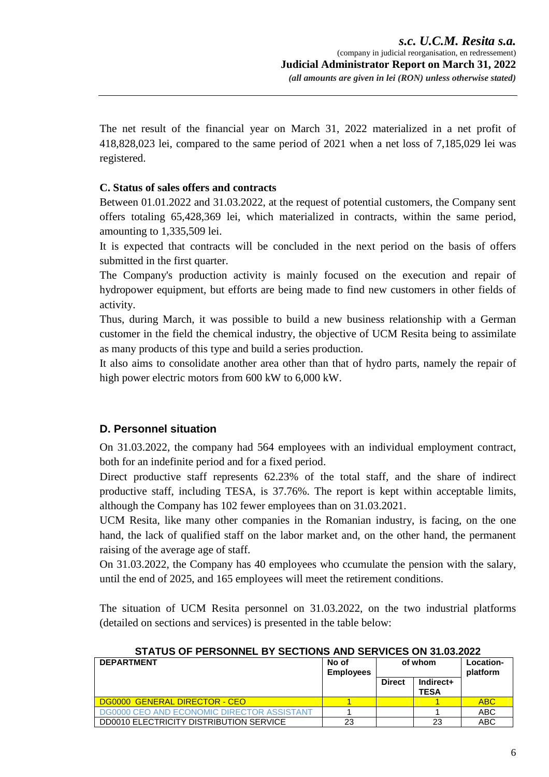The net result of the financial year on March 31, 2022 materialized in a net profit of 418,828,023 lei, compared to the same period of 2021 when a net loss of 7,185,029 lei was registered.

#### **C. Status of sales offers and contracts**

Between 01.01.2022 and 31.03.2022, at the request of potential customers, the Company sent offers totaling 65,428,369 lei, which materialized in contracts, within the same period, amounting to 1,335,509 lei.

It is expected that contracts will be concluded in the next period on the basis of offers submitted in the first quarter.

The Company's production activity is mainly focused on the execution and repair of hydropower equipment, but efforts are being made to find new customers in other fields of activity.

Thus, during March, it was possible to build a new business relationship with a German customer in the field the chemical industry, the objective of UCM Resita being to assimilate as many products of this type and build a series production.

It also aims to consolidate another area other than that of hydro parts, namely the repair of high power electric motors from 600 kW to 6,000 kW.

# **D. Personnel situation**

On 31.03.2022, the company had 564 employees with an individual employment contract, both for an indefinite period and for a fixed period.

Direct productive staff represents 62.23% of the total staff, and the share of indirect productive staff, including TESA, is 37.76%. The report is kept within acceptable limits, although the Company has 102 fewer employees than on 31.03.2021.

UCM Resita, like many other companies in the Romanian industry, is facing, on the one hand, the lack of qualified staff on the labor market and, on the other hand, the permanent raising of the average age of staff.

On 31.03.2022, the Company has 40 employees who ccumulate the pension with the salary, until the end of 2025, and 165 employees will meet the retirement conditions.

The situation of UCM Resita personnel on 31.03.2022, on the two industrial platforms (detailed on sections and services) is presented in the table below:

**STATUS OF PERSONNEL BY SECTIONS AND SERVICES ON 31.03.2022** 

| <b>DEPARTMENT</b>                              | No of<br><b>Employees</b> | of whom       |                          | Location-<br>platform |
|------------------------------------------------|---------------------------|---------------|--------------------------|-----------------------|
|                                                |                           | <b>Direct</b> | Indirect+<br><b>TESA</b> |                       |
| DG0000 GENERAL DIRECTOR - CEO                  |                           |               |                          | <b>ABC</b>            |
| DG0000 CEO AND ECONOMIC DIRECTOR ASSISTANT     |                           |               |                          | <b>ABC</b>            |
| <b>DD0010 ELECTRICITY DISTRIBUTION SERVICE</b> | 23                        |               | 23                       | <b>ABC</b>            |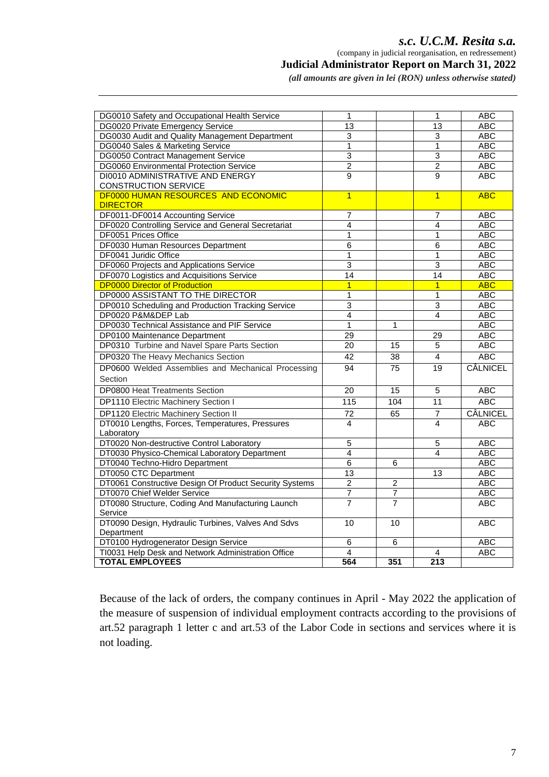#### *s.c. U.C.M. Resita s.a.*  (company in judicial reorganisation, en redressement)

 **Judicial Administrator Report on March 31, 2022** 

*(all amounts are given in lei (RON) unless otherwise stated)* 

| DG0010 Safety and Occupational Health Service          | 1               |                 | 1               | <b>ABC</b>      |
|--------------------------------------------------------|-----------------|-----------------|-----------------|-----------------|
| <b>DG0020 Private Emergency Service</b>                | $\overline{13}$ |                 | 13              | <b>ABC</b>      |
| DG0030 Audit and Quality Management Department         | 3               |                 | 3               | <b>ABC</b>      |
| DG0040 Sales & Marketing Service                       | $\mathbf{1}$    |                 | $\mathbf{1}$    | <b>ABC</b>      |
| DG0050 Contract Management Service                     | $\overline{3}$  |                 | 3               | <b>ABC</b>      |
| <b>DG0060 Environmental Protection Service</b>         | $\overline{2}$  |                 | $\overline{2}$  | <b>ABC</b>      |
| <b>DI0010 ADMINISTRATIVE AND ENERGY</b>                | $\overline{9}$  |                 | 9               | <b>ABC</b>      |
| CONSTRUCTION SERVICE                                   |                 |                 |                 |                 |
| <b>DF0000 HUMAN RESOURCES AND ECONOMIC</b>             | $\overline{1}$  |                 | $\overline{1}$  | <b>ABC</b>      |
| <b>DIRECTOR</b>                                        |                 |                 |                 |                 |
| DF0011-DF0014 Accounting Service                       | 7               |                 | 7               | <b>ABC</b>      |
| DF0020 Controlling Service and General Secretariat     | $\overline{4}$  |                 | 4               | <b>ABC</b>      |
| DF0051 Prices Office                                   | $\mathbf{1}$    |                 | 1               | <b>ABC</b>      |
| DF0030 Human Resources Department                      | 6               |                 | 6               | <b>ABC</b>      |
| DF0041 Juridic Office                                  | 1               |                 | 1               | <b>ABC</b>      |
| DF0060 Projects and Applications Service               | 3               |                 | 3               | <b>ABC</b>      |
| DF0070 Logistics and Acquisitions Service              | 14              |                 | 14              | <b>ABC</b>      |
| <b>DP0000 Director of Production</b>                   | $\overline{1}$  |                 | $\overline{1}$  | <b>ABC</b>      |
| DP0000 ASSISTANT TO THE DIRECTOR                       | $\mathbf{1}$    |                 | $\mathbf{1}$    | <b>ABC</b>      |
| DP0010 Scheduling and Production Tracking Service      | $\overline{3}$  |                 | 3               | <b>ABC</b>      |
| DP0020 P&M&DEP Lab                                     | $\overline{4}$  |                 | 4               | <b>ABC</b>      |
| DP0030 Technical Assistance and PIF Service            | $\mathbf{1}$    | $\mathbf{1}$    |                 | <b>ABC</b>      |
| DP0100 Maintenance Department                          | 29              |                 | 29              | <b>ABC</b>      |
| DP0310 Turbine and Navel Spare Parts Section           | 20              | $\overline{15}$ | 5               | <b>ABC</b>      |
| DP0320 The Heavy Mechanics Section                     | 42              | 38              | 4               | <b>ABC</b>      |
| DP0600 Welded Assemblies and Mechanical Processing     | 94              | 75              | 19              | CÂLNICEL        |
| Section                                                |                 |                 |                 |                 |
| <b>DP0800 Heat Treatments Section</b>                  | 20              | 15              | $\overline{5}$  | <b>ABC</b>      |
| DP1110 Electric Machinery Section I                    | 115             | 104             | 11              | <b>ABC</b>      |
| DP1120 Electric Machinery Section II                   | 72              | 65              | $\overline{7}$  | <b>CÂLNICEL</b> |
| DT0010 Lengths, Forces, Temperatures, Pressures        | 4               |                 | 4               | <b>ABC</b>      |
| Laboratory                                             |                 |                 |                 |                 |
| DT0020 Non-destructive Control Laboratory              | 5               |                 | $\overline{5}$  | <b>ABC</b>      |
| DT0030 Physico-Chemical Laboratory Department          | 4               |                 | 4               | <b>ABC</b>      |
| DT0040 Techno-Hidro Department                         | 6               | 6               |                 | <b>ABC</b>      |
| DT0050 CTC Department                                  | 13              |                 | $\overline{13}$ | <b>ABC</b>      |
| DT0061 Constructive Design Of Product Security Systems | $\overline{2}$  | $\overline{2}$  |                 | <b>ABC</b>      |
| DT0070 Chief Welder Service                            | $\overline{7}$  | $\overline{7}$  |                 | ABC             |
| DT0080 Structure, Coding And Manufacturing Launch      | $\overline{7}$  | $\overline{7}$  |                 | <b>ABC</b>      |
| Service                                                |                 |                 |                 |                 |
| DT0090 Design, Hydraulic Turbines, Valves And Sdvs     | 10              | 10              |                 | <b>ABC</b>      |
| Department                                             |                 |                 |                 |                 |
| DT0100 Hydrogenerator Design Service                   | 6               | 6               |                 | <b>ABC</b>      |
| TI0031 Help Desk and Network Administration Office     | 4               |                 | 4               | <b>ABC</b>      |
| <b>TOTAL EMPLOYEES</b>                                 | 564             | 351             | 213             |                 |

Because of the lack of orders, the company continues in April - May 2022 the application of the measure of suspension of individual employment contracts according to the provisions of art.52 paragraph 1 letter c and art.53 of the Labor Code in sections and services where it is not loading.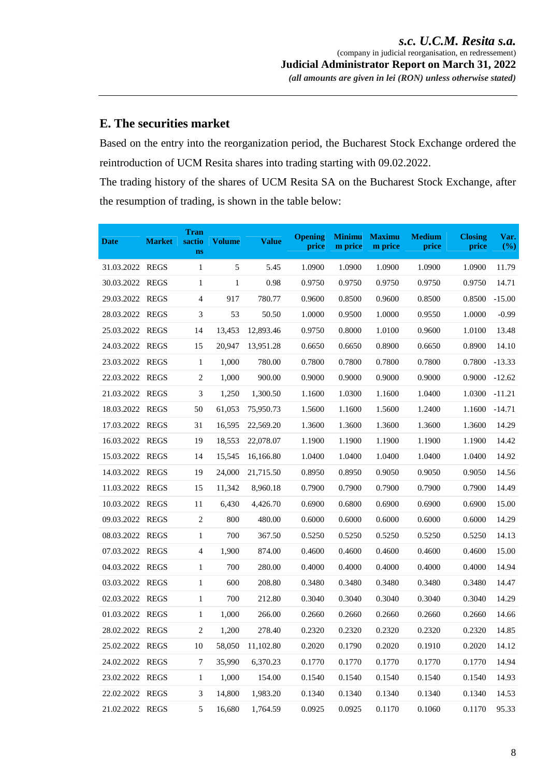# **E. The securities market**

Based on the entry into the reorganization period, the Bucharest Stock Exchange ordered the reintroduction of UCM Resita shares into trading starting with 09.02.2022.

The trading history of the shares of UCM Resita SA on the Bucharest Stock Exchange, after the resumption of trading, is shown in the table below:

| <b>Date</b>     | <b>Market</b> | <b>Tran</b><br>sactio<br>ns | <b>Volume</b> | <b>Value</b> | <b>Opening</b><br>price | <b>Minimu</b><br>m price | <b>Maximu</b><br>m price | <b>Medium</b><br>price | <b>Closing</b><br>price | Var.<br>(%) |
|-----------------|---------------|-----------------------------|---------------|--------------|-------------------------|--------------------------|--------------------------|------------------------|-------------------------|-------------|
| 31.03.2022 REGS |               | 1                           | 5             | 5.45         | 1.0900                  | 1.0900                   | 1.0900                   | 1.0900                 | 1.0900                  | 11.79       |
| 30.03.2022 REGS |               | $\mathbf{1}$                | $\mathbf{1}$  | 0.98         | 0.9750                  | 0.9750                   | 0.9750                   | 0.9750                 | 0.9750                  | 14.71       |
| 29.03.2022      | <b>REGS</b>   | $\overline{4}$              | 917           | 780.77       | 0.9600                  | 0.8500                   | 0.9600                   | 0.8500                 | 0.8500                  | $-15.00$    |
| 28.03.2022      | <b>REGS</b>   | $\mathfrak{Z}$              | 53            | 50.50        | 1.0000                  | 0.9500                   | 1.0000                   | 0.9550                 | 1.0000                  | $-0.99$     |
| 25.03.2022 REGS |               | 14                          | 13,453        | 12,893.46    | 0.9750                  | 0.8000                   | 1.0100                   | 0.9600                 | 1.0100                  | 13.48       |
| 24.03.2022      | <b>REGS</b>   | 15                          | 20.947        | 13.951.28    | 0.6650                  | 0.6650                   | 0.8900                   | 0.6650                 | 0.8900                  | 14.10       |
| 23.03.2022 REGS |               | $\mathbf{1}$                | 1,000         | 780.00       | 0.7800                  | 0.7800                   | 0.7800                   | 0.7800                 | 0.7800                  | $-13.33$    |
| 22.03.2022 REGS |               | $\sqrt{2}$                  | 1,000         | 900.00       | 0.9000                  | 0.9000                   | 0.9000                   | 0.9000                 | 0.9000                  | $-12.62$    |
| 21.03.2022 REGS |               | $\mathfrak{Z}$              | 1,250         | 1,300.50     | 1.1600                  | 1.0300                   | 1.1600                   | 1.0400                 | 1.0300                  | $-11.21$    |
| 18.03.2022 REGS |               | 50                          | 61,053        | 75,950.73    | 1.5600                  | 1.1600                   | 1.5600                   | 1.2400                 | 1.1600                  | $-14.71$    |
| 17.03.2022 REGS |               | 31                          | 16,595        | 22,569.20    | 1.3600                  | 1.3600                   | 1.3600                   | 1.3600                 | 1.3600                  | 14.29       |
| 16.03.2022 REGS |               | 19                          | 18,553        | 22,078.07    | 1.1900                  | 1.1900                   | 1.1900                   | 1.1900                 | 1.1900                  | 14.42       |
| 15.03.2022      | <b>REGS</b>   | 14                          | 15,545        | 16,166.80    | 1.0400                  | 1.0400                   | 1.0400                   | 1.0400                 | 1.0400                  | 14.92       |
| 14.03.2022 REGS |               | 19                          | 24,000        | 21,715.50    | 0.8950                  | 0.8950                   | 0.9050                   | 0.9050                 | 0.9050                  | 14.56       |
| 11.03.2022 REGS |               | 15                          | 11,342        | 8,960.18     | 0.7900                  | 0.7900                   | 0.7900                   | 0.7900                 | 0.7900                  | 14.49       |
| 10.03.2022      | <b>REGS</b>   | 11                          | 6,430         | 4,426.70     | 0.6900                  | 0.6800                   | 0.6900                   | 0.6900                 | 0.6900                  | 15.00       |
| 09.03.2022      | <b>REGS</b>   | $\sqrt{2}$                  | 800           | 480.00       | 0.6000                  | 0.6000                   | 0.6000                   | 0.6000                 | 0.6000                  | 14.29       |
| 08.03.2022 REGS |               | $\mathbf{1}$                | 700           | 367.50       | 0.5250                  | 0.5250                   | 0.5250                   | 0.5250                 | 0.5250                  | 14.13       |
| 07.03.2022 REGS |               | $\overline{4}$              | 1,900         | 874.00       | 0.4600                  | 0.4600                   | 0.4600                   | 0.4600                 | 0.4600                  | 15.00       |
| 04.03.2022      | <b>REGS</b>   | $\mathbf{1}$                | 700           | 280.00       | 0.4000                  | 0.4000                   | 0.4000                   | 0.4000                 | 0.4000                  | 14.94       |
| 03.03.2022 REGS |               | 1                           | 600           | 208.80       | 0.3480                  | 0.3480                   | 0.3480                   | 0.3480                 | 0.3480                  | 14.47       |
| 02.03.2022 REGS |               | $\mathbf{1}$                | 700           | 212.80       | 0.3040                  | 0.3040                   | 0.3040                   | 0.3040                 | 0.3040                  | 14.29       |
| 01.03.2022      | REGS          | $\mathbf{1}$                | 1,000         | 266.00       | 0.2660                  | 0.2660                   | 0.2660                   | 0.2660                 | 0.2660                  | 14.66       |
| 28.02.2022 REGS |               | $\mathbf{2}$                | 1,200         | 278.40       | 0.2320                  | 0.2320                   | 0.2320                   | 0.2320                 | 0.2320                  | 14.85       |
| 25.02.2022 REGS |               | 10                          | 58,050        | 11,102.80    | 0.2020                  | 0.1790                   | 0.2020                   | 0.1910                 | 0.2020                  | 14.12       |
| 24.02.2022 REGS |               | $\tau$                      | 35,990        | 6,370.23     | 0.1770                  | 0.1770                   | 0.1770                   | 0.1770                 | 0.1770                  | 14.94       |
| 23.02.2022 REGS |               | $\mathbf{1}$                | 1,000         | 154.00       | 0.1540                  | 0.1540                   | 0.1540                   | 0.1540                 | 0.1540                  | 14.93       |
| 22.02.2022 REGS |               | $\mathfrak{Z}$              | 14,800        | 1,983.20     | 0.1340                  | 0.1340                   | 0.1340                   | 0.1340                 | 0.1340                  | 14.53       |
| 21.02.2022 REGS |               | 5                           | 16,680        | 1,764.59     | 0.0925                  | 0.0925                   | 0.1170                   | 0.1060                 | 0.1170                  | 95.33       |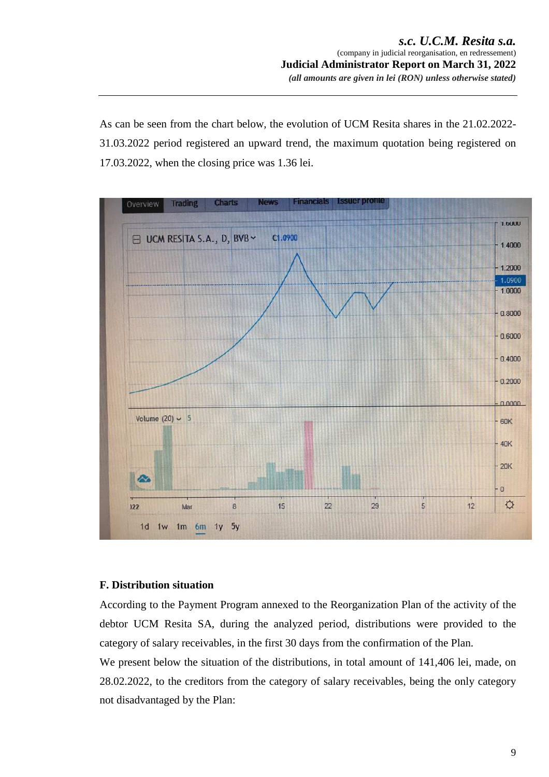As can be seen from the chart below, the evolution of UCM Resita shares in the 21.02.2022- 31.03.2022 period registered an upward trend, the maximum quotation being registered on 17.03.2022, when the closing price was 1.36 lei.



#### **F. Distribution situation**

According to the Payment Program annexed to the Reorganization Plan of the activity of the debtor UCM Resita SA, during the analyzed period, distributions were provided to the category of salary receivables, in the first 30 days from the confirmation of the Plan.

We present below the situation of the distributions, in total amount of 141,406 lei, made, on 28.02.2022, to the creditors from the category of salary receivables, being the only category not disadvantaged by the Plan: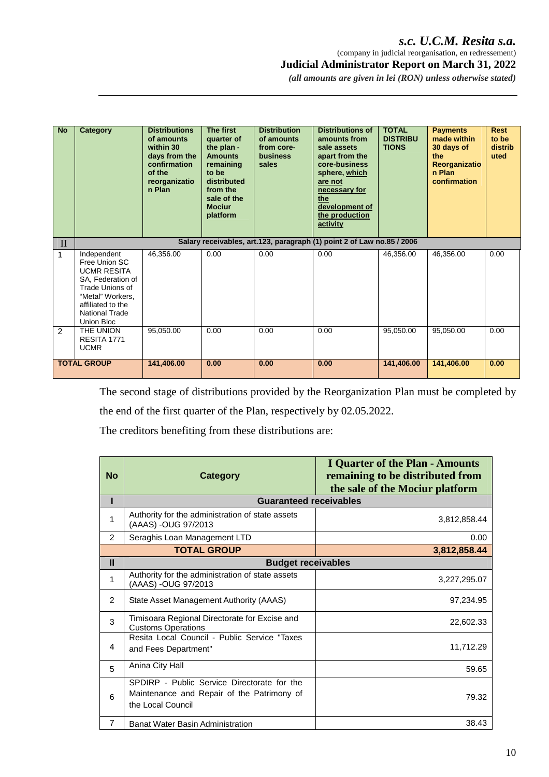# *s.c. U.C.M. Resita s.a.*

 (company in judicial reorganisation, en redressement)  **Judicial Administrator Report on March 31, 2022** 

*(all amounts are given in lei (RON) unless otherwise stated)* 

| <b>No</b>     | Category                                                                                                                                                                   | <b>Distributions</b><br>of amounts<br>within 30<br>days from the<br>confirmation<br>of the<br>reorganizatio<br>n Plan | The first<br>quarter of<br>the plan -<br><b>Amounts</b><br>remaining<br>to be<br>distributed<br>from the<br>sale of the<br><b>Mociur</b><br>platform | <b>Distribution</b><br>of amounts<br>from core-<br>business<br>sales | <b>Distributions of</b><br>amounts from<br>sale assets<br>apart from the<br>core-business<br>sphere, which<br>are not<br>necessary for<br>the<br>development of<br>the production<br>activity | <b>TOTAL</b><br><b>DISTRIBU</b><br><b>TIONS</b> | <b>Payments</b><br>made within<br>30 days of<br>the<br>Reorganizatio<br>n Plan<br>confirmation | <b>Rest</b><br>to be<br>distrib<br>uted |
|---------------|----------------------------------------------------------------------------------------------------------------------------------------------------------------------------|-----------------------------------------------------------------------------------------------------------------------|------------------------------------------------------------------------------------------------------------------------------------------------------|----------------------------------------------------------------------|-----------------------------------------------------------------------------------------------------------------------------------------------------------------------------------------------|-------------------------------------------------|------------------------------------------------------------------------------------------------|-----------------------------------------|
| $\mathbf{I}$  |                                                                                                                                                                            |                                                                                                                       |                                                                                                                                                      |                                                                      | Salary receivables, art.123, paragraph (1) point 2 of Law no.85 / 2006                                                                                                                        |                                                 |                                                                                                |                                         |
| 1             | Independent<br>Free Union SC<br><b>UCMR RESITA</b><br>SA, Federation of<br>Trade Unions of<br>"Metal" Workers.<br>affiliated to the<br><b>National Trade</b><br>Union Bloc | 46,356.00                                                                                                             | 0.00                                                                                                                                                 | 0.00                                                                 | 0.00                                                                                                                                                                                          | 46,356.00                                       | 46,356.00                                                                                      | 0.00                                    |
| $\mathcal{P}$ | THE UNION<br>RESITA 1771<br><b>UCMR</b>                                                                                                                                    | 95,050.00                                                                                                             | 0.00                                                                                                                                                 | 0.00                                                                 | 0.00                                                                                                                                                                                          | 95,050.00                                       | 95,050.00                                                                                      | 0.00                                    |
|               | <b>TOTAL GROUP</b>                                                                                                                                                         | 141,406.00                                                                                                            | 0.00                                                                                                                                                 | 0.00                                                                 | 0.00                                                                                                                                                                                          | 141,406.00                                      | 141,406.00                                                                                     | 0.00                                    |

The second stage of distributions provided by the Reorganization Plan must be completed by the end of the first quarter of the Plan, respectively by 02.05.2022.

The creditors benefiting from these distributions are:

| <b>No</b>      | Category                                                                                                       | <b>I Quarter of the Plan - Amounts</b><br>remaining to be distributed from<br>the sale of the Mociur platform |
|----------------|----------------------------------------------------------------------------------------------------------------|---------------------------------------------------------------------------------------------------------------|
| ı              | <b>Guaranteed receivables</b>                                                                                  |                                                                                                               |
| 1              | Authority for the administration of state assets<br>(AAAS) -OUG 97/2013                                        | 3,812,858.44                                                                                                  |
| 2              | Seraghis Loan Management LTD                                                                                   | 0.00                                                                                                          |
|                | <b>TOTAL GROUP</b>                                                                                             | 3,812,858.44                                                                                                  |
| $\mathbf{II}$  | <b>Budget receivables</b>                                                                                      |                                                                                                               |
| 1              | Authority for the administration of state assets<br>(AAAS) -OUG 97/2013                                        | 3,227,295.07                                                                                                  |
| 2              | State Asset Management Authority (AAAS)                                                                        | 97,234.95                                                                                                     |
| 3              | Timisoara Regional Directorate for Excise and<br><b>Customs Operations</b>                                     | 22,602.33                                                                                                     |
| 4              | Resita Local Council - Public Service "Taxes<br>and Fees Department"                                           | 11,712.29                                                                                                     |
| 5              | Anina City Hall                                                                                                | 59.65                                                                                                         |
| 6              | SPDIRP - Public Service Directorate for the<br>Maintenance and Repair of the Patrimony of<br>the Local Council | 79.32                                                                                                         |
| $\overline{7}$ | Banat Water Basin Administration                                                                               | 38.43                                                                                                         |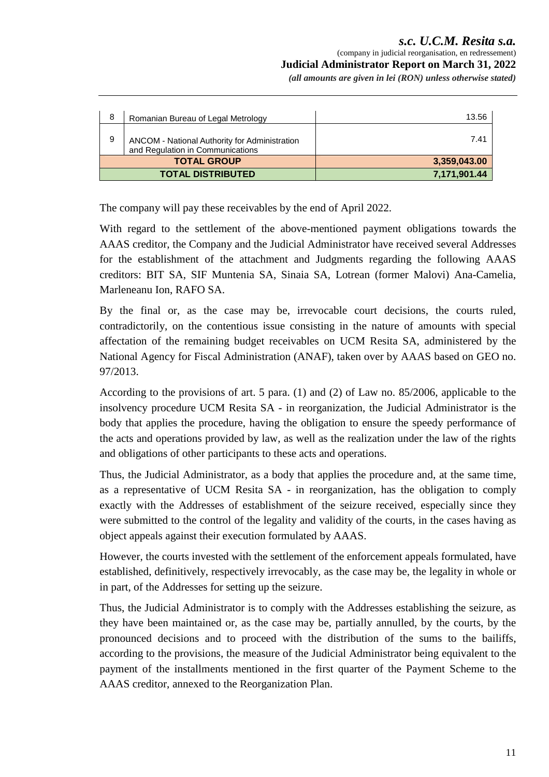# *s.c. U.C.M. Resita s.a.*  (company in judicial reorganisation, en redressement)  **Judicial Administrator Report on March 31, 2022**

*(all amounts are given in lei (RON) unless otherwise stated)* 

| 8 | Romanian Bureau of Legal Metrology                                                | 13.56        |
|---|-----------------------------------------------------------------------------------|--------------|
| 9 | ANCOM - National Authority for Administration<br>and Regulation in Communications | 7.41         |
|   | <b>TOTAL GROUP</b>                                                                | 3,359,043.00 |
|   | <b>TOTAL DISTRIBUTED</b>                                                          | 7,171,901.44 |

The company will pay these receivables by the end of April 2022.

With regard to the settlement of the above-mentioned payment obligations towards the AAAS creditor, the Company and the Judicial Administrator have received several Addresses for the establishment of the attachment and Judgments regarding the following AAAS creditors: BIT SA, SIF Muntenia SA, Sinaia SA, Lotrean (former Malovi) Ana-Camelia, Marleneanu Ion, RAFO SA.

By the final or, as the case may be, irrevocable court decisions, the courts ruled, contradictorily, on the contentious issue consisting in the nature of amounts with special affectation of the remaining budget receivables on UCM Resita SA, administered by the National Agency for Fiscal Administration (ANAF), taken over by AAAS based on GEO no. 97/2013.

According to the provisions of art. 5 para. (1) and (2) of Law no. 85/2006, applicable to the insolvency procedure UCM Resita SA - in reorganization, the Judicial Administrator is the body that applies the procedure, having the obligation to ensure the speedy performance of the acts and operations provided by law, as well as the realization under the law of the rights and obligations of other participants to these acts and operations.

Thus, the Judicial Administrator, as a body that applies the procedure and, at the same time, as a representative of UCM Resita SA - in reorganization, has the obligation to comply exactly with the Addresses of establishment of the seizure received, especially since they were submitted to the control of the legality and validity of the courts, in the cases having as object appeals against their execution formulated by AAAS.

However, the courts invested with the settlement of the enforcement appeals formulated, have established, definitively, respectively irrevocably, as the case may be, the legality in whole or in part, of the Addresses for setting up the seizure.

Thus, the Judicial Administrator is to comply with the Addresses establishing the seizure, as they have been maintained or, as the case may be, partially annulled, by the courts, by the pronounced decisions and to proceed with the distribution of the sums to the bailiffs, according to the provisions, the measure of the Judicial Administrator being equivalent to the payment of the installments mentioned in the first quarter of the Payment Scheme to the AAAS creditor, annexed to the Reorganization Plan.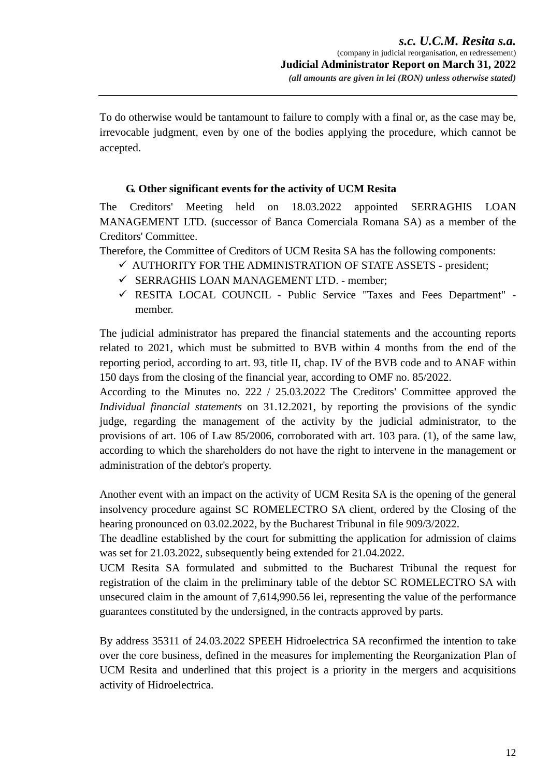To do otherwise would be tantamount to failure to comply with a final or, as the case may be, irrevocable judgment, even by one of the bodies applying the procedure, which cannot be accepted.

# **G. Other significant events for the activity of UCM Resita**

The Creditors' Meeting held on 18.03.2022 appointed SERRAGHIS LOAN MANAGEMENT LTD. (successor of Banca Comerciala Romana SA) as a member of the Creditors' Committee.

Therefore, the Committee of Creditors of UCM Resita SA has the following components:

- $\checkmark$  AUTHORITY FOR THE ADMINISTRATION OF STATE ASSETS president;
- $\checkmark$  SERRAGHIS LOAN MANAGEMENT LTD. member;
- RESITA LOCAL COUNCIL Public Service "Taxes and Fees Department" member.

The judicial administrator has prepared the financial statements and the accounting reports related to 2021, which must be submitted to BVB within 4 months from the end of the reporting period, according to art. 93, title II, chap. IV of the BVB code and to ANAF within 150 days from the closing of the financial year, according to OMF no. 85/2022.

According to the Minutes no. 222 / 25.03.2022 The Creditors' Committee approved the *Individual financial statements* on 31.12.2021, by reporting the provisions of the syndic judge, regarding the management of the activity by the judicial administrator, to the provisions of art. 106 of Law 85/2006, corroborated with art. 103 para. (1), of the same law, according to which the shareholders do not have the right to intervene in the management or administration of the debtor's property.

Another event with an impact on the activity of UCM Resita SA is the opening of the general insolvency procedure against SC ROMELECTRO SA client, ordered by the Closing of the hearing pronounced on 03.02.2022, by the Bucharest Tribunal in file 909/3/2022.

The deadline established by the court for submitting the application for admission of claims was set for 21.03.2022, subsequently being extended for 21.04.2022.

UCM Resita SA formulated and submitted to the Bucharest Tribunal the request for registration of the claim in the preliminary table of the debtor SC ROMELECTRO SA with unsecured claim in the amount of 7,614,990.56 lei, representing the value of the performance guarantees constituted by the undersigned, in the contracts approved by parts.

By address 35311 of 24.03.2022 SPEEH Hidroelectrica SA reconfirmed the intention to take over the core business, defined in the measures for implementing the Reorganization Plan of UCM Resita and underlined that this project is a priority in the mergers and acquisitions activity of Hidroelectrica.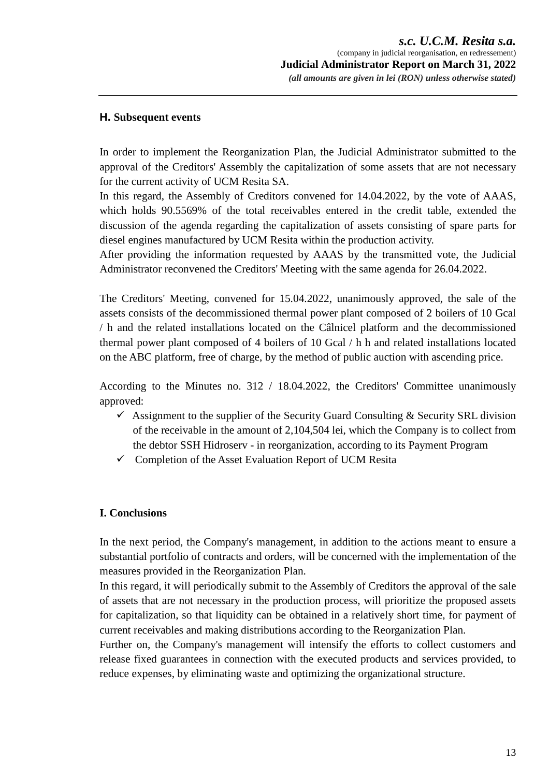#### **H. Subsequent events**

In order to implement the Reorganization Plan, the Judicial Administrator submitted to the approval of the Creditors' Assembly the capitalization of some assets that are not necessary for the current activity of UCM Resita SA.

In this regard, the Assembly of Creditors convened for 14.04.2022, by the vote of AAAS, which holds 90.5569% of the total receivables entered in the credit table, extended the discussion of the agenda regarding the capitalization of assets consisting of spare parts for diesel engines manufactured by UCM Resita within the production activity.

After providing the information requested by AAAS by the transmitted vote, the Judicial Administrator reconvened the Creditors' Meeting with the same agenda for 26.04.2022.

The Creditors' Meeting, convened for 15.04.2022, unanimously approved, the sale of the assets consists of the decommissioned thermal power plant composed of 2 boilers of 10 Gcal / h and the related installations located on the Câlnicel platform and the decommissioned thermal power plant composed of 4 boilers of 10 Gcal / h h and related installations located on the ABC platform, free of charge, by the method of public auction with ascending price.

According to the Minutes no. 312 / 18.04.2022, the Creditors' Committee unanimously approved:

- $\checkmark$  Assignment to the supplier of the Security Guard Consulting & Security SRL division of the receivable in the amount of 2,104,504 lei, which the Company is to collect from the debtor SSH Hidroserv - in reorganization, according to its Payment Program
- $\checkmark$  Completion of the Asset Evaluation Report of UCM Resita

# **I. Conclusions**

In the next period, the Company's management, in addition to the actions meant to ensure a substantial portfolio of contracts and orders, will be concerned with the implementation of the measures provided in the Reorganization Plan.

In this regard, it will periodically submit to the Assembly of Creditors the approval of the sale of assets that are not necessary in the production process, will prioritize the proposed assets for capitalization, so that liquidity can be obtained in a relatively short time, for payment of current receivables and making distributions according to the Reorganization Plan.

Further on, the Company's management will intensify the efforts to collect customers and release fixed guarantees in connection with the executed products and services provided, to reduce expenses, by eliminating waste and optimizing the organizational structure.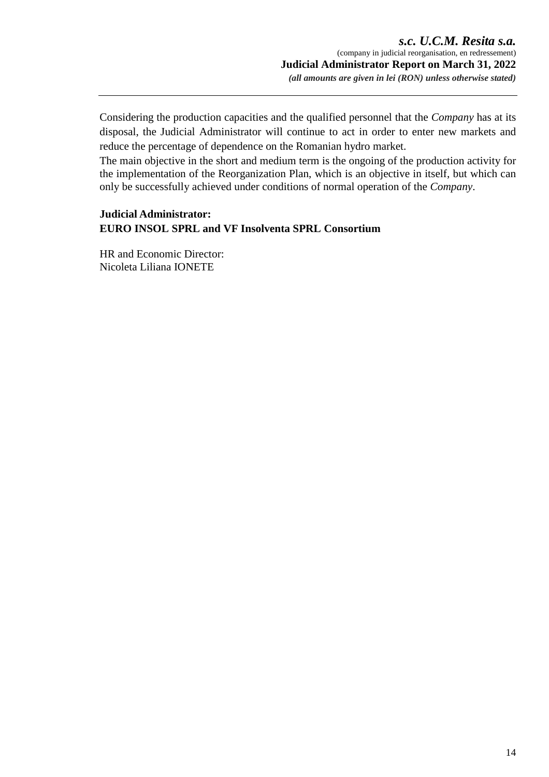Considering the production capacities and the qualified personnel that the *Company* has at its disposal, the Judicial Administrator will continue to act in order to enter new markets and reduce the percentage of dependence on the Romanian hydro market.

The main objective in the short and medium term is the ongoing of the production activity for the implementation of the Reorganization Plan, which is an objective in itself, but which can only be successfully achieved under conditions of normal operation of the *Company*.

# **Judicial Administrator: EURO INSOL SPRL and VF Insolventa SPRL Consortium**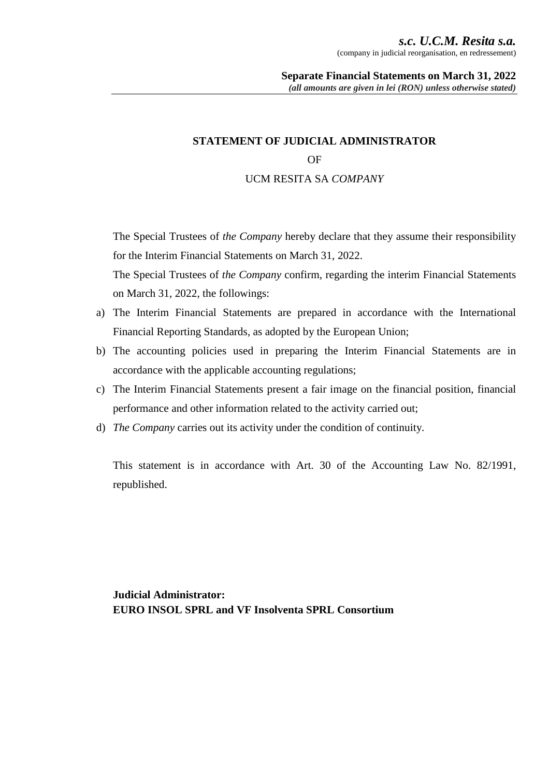# **STATEMENT OF JUDICIAL ADMINISTRATOR**

#### OF

# UCM RESITA SA *COMPANY*

The Special Trustees of *the Company* hereby declare that they assume their responsibility for the Interim Financial Statements on March 31, 2022.

The Special Trustees of *the Company* confirm, regarding the interim Financial Statements on March 31, 2022, the followings:

- a) The Interim Financial Statements are prepared in accordance with the International Financial Reporting Standards, as adopted by the European Union;
- b) The accounting policies used in preparing the Interim Financial Statements are in accordance with the applicable accounting regulations;
- c) The Interim Financial Statements present a fair image on the financial position, financial performance and other information related to the activity carried out;
- d) *The Company* carries out its activity under the condition of continuity.

This statement is in accordance with Art. 30 of the Accounting Law No. 82/1991, republished.

**Judicial Administrator: EURO INSOL SPRL and VF Insolventa SPRL Consortium**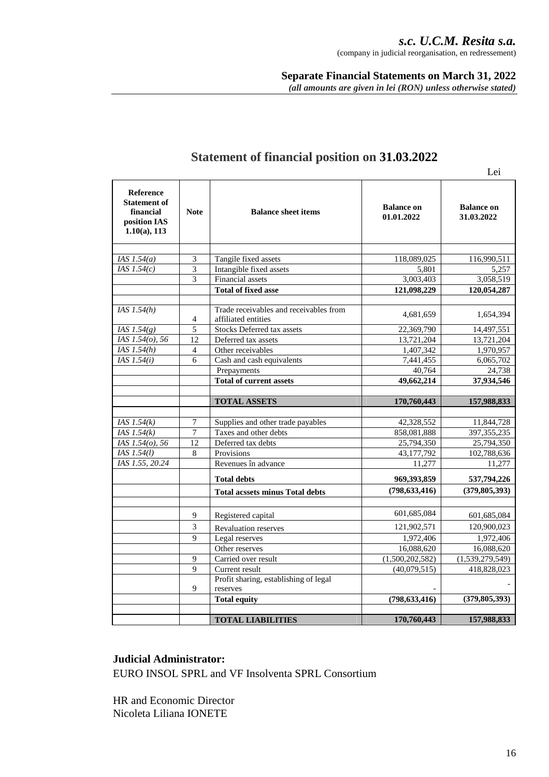*s.c. U.C.M. Resita s.a.*  (company in judicial reorganisation, en redressement)

**Separate Financial Statements on March 31, 2022** *(all amounts are given in lei (RON) unless otherwise stated)*

|                                                                                         |                             |                                                               |                                 | Lei                             |
|-----------------------------------------------------------------------------------------|-----------------------------|---------------------------------------------------------------|---------------------------------|---------------------------------|
| <b>Reference</b><br><b>Statement of</b><br>financial<br>position IAS<br>$1.10(a)$ , 113 | <b>Note</b>                 | <b>Balance sheet items</b>                                    | <b>Balance on</b><br>01.01.2022 | <b>Balance on</b><br>31.03.2022 |
| IAS $1.54(a)$                                                                           | $\ensuremath{\mathfrak{Z}}$ | Tangile fixed assets                                          | 118,089,025                     | 116,990,511                     |
| IAS $1.54(c)$                                                                           | 3                           | Intangible fixed assets                                       | 5.801                           | 5.257                           |
|                                                                                         | 3                           | <b>Financial</b> assets                                       | 3,003,403                       | 3,058,519                       |
|                                                                                         |                             | <b>Total of fixed asse</b>                                    | 121,098,229                     | 120,054,287                     |
|                                                                                         |                             |                                                               |                                 |                                 |
| IAS $1.54(h)$                                                                           | 4                           | Trade receivables and receivables from<br>affiliated entities | 4,681,659                       | 1,654,394                       |
| IAS $1.54(g)$                                                                           | $\overline{5}$              | <b>Stocks Deferred tax assets</b>                             | 22,369,790                      | 14,497,551                      |
| IAS 1.54(o), 56                                                                         | 12                          | Deferred tax assets                                           | 13,721,204                      | 13,721,204                      |
| $\overline{IAS}$ 1.54(h)                                                                | $\overline{4}$              | Other receivables                                             | 1,407,342                       | 1,970,957                       |
| IAS $1.54(i)$                                                                           | 6                           | Cash and cash equivalents                                     | $\overline{7,}441,455$          | 6,065,702                       |
|                                                                                         |                             | Prepayments                                                   | 40,764                          | 24,738                          |
|                                                                                         |                             | <b>Total of current assets</b>                                | 49,662,214                      | 37,934,546                      |
|                                                                                         |                             |                                                               |                                 |                                 |
|                                                                                         |                             | <b>TOTAL ASSETS</b>                                           | 170,760,443                     | 157,988,833                     |
|                                                                                         |                             |                                                               |                                 |                                 |
| IAS $1.54(k)$                                                                           | $\boldsymbol{7}$            | Supplies and other trade payables                             | 42,328,552                      | 11,844,728                      |
| IAS $1.54(k)$                                                                           | $\tau$                      | Taxes and other debts                                         | 858,081,888                     | 397, 355, 235                   |
| IAS 1.54(o), 56                                                                         | 12                          | Deferred tax debts                                            | 25,794,350                      | 25,794,350                      |
| IAS 1.54(1)                                                                             | 8                           | Provisions                                                    | 43,177,792                      | 102,788,636                     |
| IAS 1.55, 20.24                                                                         |                             | Revenues în advance                                           | 11,277                          | 11.277                          |
|                                                                                         |                             | <b>Total debts</b>                                            | 969,393,859                     | 537,794,226                     |
|                                                                                         |                             | <b>Total acssets minus Total debts</b>                        | (798, 633, 416)                 | (379, 805, 393)                 |
|                                                                                         |                             |                                                               |                                 |                                 |
|                                                                                         | 9                           | Registered capital                                            | 601,685,084                     | 601,685,084                     |
|                                                                                         | 3                           | <b>Revaluation reserves</b>                                   | 121,902,571                     | 120,900,023                     |
|                                                                                         | $\mathbf Q$                 | Legal reserves                                                | 1,972,406                       | $\overline{1,}972,406$          |
|                                                                                         |                             | Other reserves                                                | 16,088,620                      | 16,088,620                      |
|                                                                                         | 9                           | Carried over result                                           | (1,500,202,582)                 | (1,539,279,549)                 |
|                                                                                         | 9                           | Current result                                                | (40,079,515)                    | 418,828,023                     |
|                                                                                         | 9                           | Profit sharing, establishing of legal<br>reserves             |                                 |                                 |
|                                                                                         |                             | <b>Total equity</b>                                           | (798, 633, 416)                 | (379, 805, 393)                 |
|                                                                                         |                             |                                                               |                                 |                                 |
|                                                                                         |                             |                                                               |                                 |                                 |

# **Statement of financial position on 31.03.2022**

#### **Judicial Administrator:**

EURO INSOL SPRL and VF Insolventa SPRL Consortium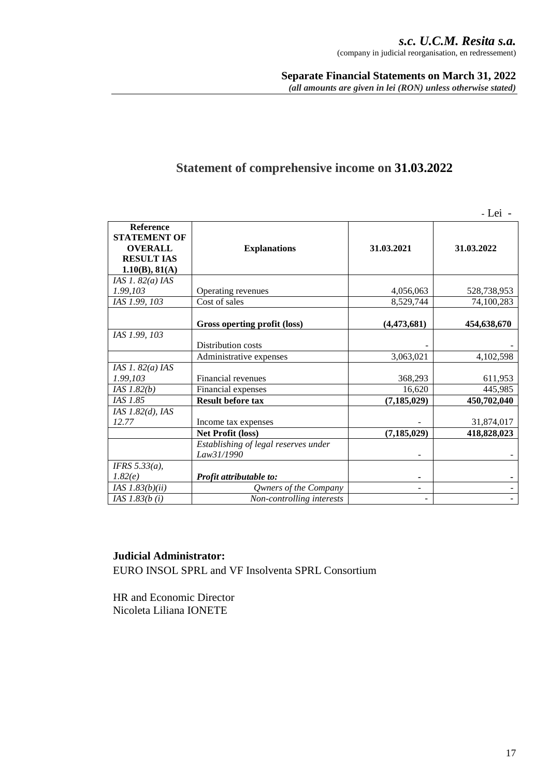# **Statement of comprehensive income on 31.03.2022**

- Lei -

| <b>Reference</b><br><b>STATEMENT OF</b><br><b>OVERALL</b><br><b>RESULT IAS</b><br>1.10(B), 81(A) | <b>Explanations</b>                  | 31.03.2021    | 31.03.2022  |
|--------------------------------------------------------------------------------------------------|--------------------------------------|---------------|-------------|
| IAS $1.82(a)$ IAS                                                                                |                                      |               |             |
| 1.99,103                                                                                         | Operating revenues                   | 4,056,063     | 528,738,953 |
| IAS 1.99, 103                                                                                    | Cost of sales                        | 8,529,744     | 74,100,283  |
|                                                                                                  | Gross operting profit (loss)         | (4, 473, 681) | 454,638,670 |
| IAS 1.99, 103                                                                                    | Distribution costs                   |               |             |
|                                                                                                  | Administrative expenses              | 3,063,021     | 4,102,598   |
| IAS 1. $82(a)$ IAS                                                                               |                                      |               |             |
| 1.99,103                                                                                         | Financial revenues                   | 368,293       | 611,953     |
| IAS 1.82(b)                                                                                      | Financial expenses                   | 16,620        | 445,985     |
| IAS 1.85                                                                                         | <b>Result before tax</b>             | (7, 185, 029) | 450,702,040 |
| IAS $1.82(d)$ , IAS                                                                              |                                      |               |             |
| 12.77                                                                                            | Income tax expenses                  |               | 31,874,017  |
|                                                                                                  | Net Profit (loss)                    | (7, 185, 029) | 418,828,023 |
|                                                                                                  | Establishing of legal reserves under |               |             |
|                                                                                                  | Law31/1990                           |               |             |
| IFRS $5.33(a)$ ,                                                                                 |                                      |               |             |
| 1.82(e)                                                                                          | Profit attributable to:              |               |             |
| IAS $1.83(b)(ii)$                                                                                | Qwners of the Company                |               |             |
| <i>IAS</i> $1.83(b(i)$                                                                           | Non-controlling interests            |               |             |

# **Judicial Administrator:**

EURO INSOL SPRL and VF Insolventa SPRL Consortium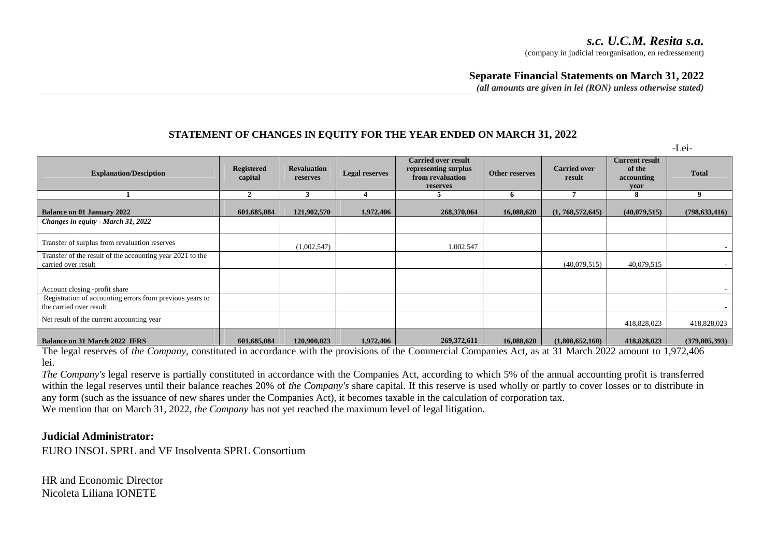-Lei-

#### **Separate Financial Statements on March 31, 2022**

*(all amounts are given in lei (RON) unless otherwise stated)*

#### **STATEMENT OF CHANGES IN EQUITY FOR THE YEAR ENDED ON MARCH 31, 2022**

**Explanation/Desciption Registered capital Revaluation reserves Legal reserves Carried over result representing surplus from revaluation reserves Other reserves Carried over Carried over Current result of the accounting year Total 1 2 3 4 5 6 7 8 9 Balance on 01 January 2022** 601,685,084 121,902,570 1,972,406 268,370,064 16,088,620 (1, 768,572,645) (40,079,515) (798,633,416) *Changes in equity - March 31, 2022* Transfer of surplus from revaluation reserves (1,002,547) (1,002,547) 1,002,547 Transfer of the result of the accounting year 2021 to the carried over resultt (40,079,515) 40,079,515 40,079,515  $\frac{1}{\sqrt{2}}$ Account closing -profit share Registration of accounting errors from previous years to the carried over result $\sim$  . The contract of the contract of the contract of the contract of the contract of the contract of the contract of the contract of the contract of the contract of the contract of the contract of the contract of the co Net result of the current accounting year 418,828,023 418,828,023 **Balance on 31 March 2022 IFRS601,685,084** 120,900,023 1,972,406 269,372,611 16,088,620 (1,808,652,160) 418,828,023 (379,805,393)

The legal reserves of *the Company*, constituted in accordance with the provisions of the Commercial Companies Act, as at 31 March 2022 amount to 1,972,406 lei.

 *The Company's* legal reserve is partially constituted in accordance with the Companies Act, according to which 5% of the annual accounting profit is transferred within the legal reserves until their balance reaches 20% of *the Company's* share capital. If this reserve is used wholly or partly to cover losses or to distribute in any form (such as the issuance of new shares under the Companies Act), it becomes taxable in the calculation of corporation tax. We mention that on March 31, 2022, *the Company* has not yet reached the maximum level of legal litigation.

#### **Judicial Administrator:**

EURO INSOL SPRL and VF Insolventa SPRL Consortium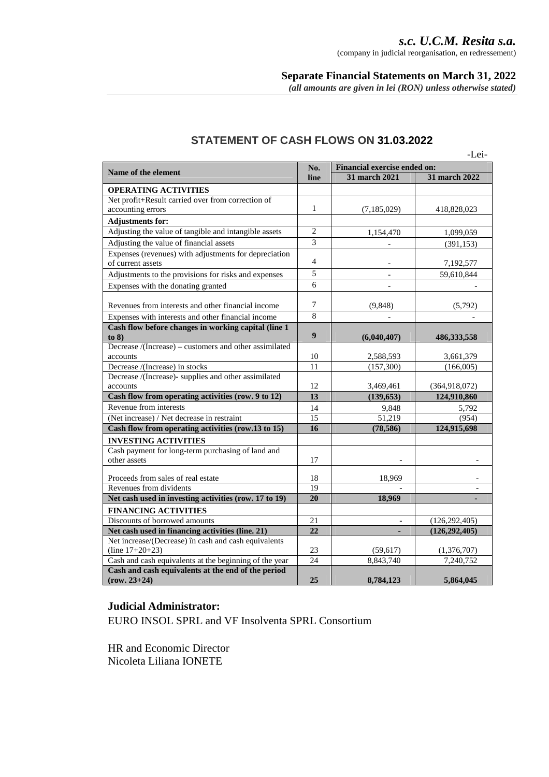*s.c. U.C.M. Resita s.a.* 

(company in judicial reorganisation, en redressement)

# **Separate Financial Statements on March 31, 2022**

*(all amounts are given in lei (RON) unless otherwise stated)*

|                                                                  |                  |                                     | -Lei-                          |
|------------------------------------------------------------------|------------------|-------------------------------------|--------------------------------|
| Name of the element                                              | No.              | <b>Financial exercise ended on:</b> |                                |
|                                                                  | line             | 31 march 2021                       | 31 march 2022                  |
| <b>OPERATING ACTIVITIES</b>                                      |                  |                                     |                                |
| Net profit+Result carried over from correction of                |                  |                                     |                                |
| accounting errors                                                | $\mathbf{1}$     | (7,185,029)                         | 418,828,023                    |
| <b>Adjustments for:</b>                                          |                  |                                     |                                |
| Adjusting the value of tangible and intangible assets            | $\overline{2}$   | 1,154,470                           | 1,099,059                      |
| Adjusting the value of financial assets                          | $\mathfrak{Z}$   |                                     | (391, 153)                     |
| Expenses (revenues) with adjustments for depreciation            |                  |                                     |                                |
| of current assets                                                | $\overline{4}$   |                                     | 7,192,577                      |
| Adjustments to the provisions for risks and expenses             | $\overline{5}$   |                                     | 59,610,844                     |
| Expenses with the donating granted                               | 6                |                                     |                                |
|                                                                  |                  |                                     |                                |
| Revenues from interests and other financial income               | 7                | (9,848)                             | (5,792)                        |
| Expenses with interests and other financial income               | $\overline{8}$   |                                     |                                |
| Cash flow before changes in working capital (line 1              |                  |                                     |                                |
| to 8)                                                            | $\boldsymbol{9}$ | (6,040,407)                         | 486, 333, 558                  |
| Decrease /(Increase) – customers and other assimilated           |                  |                                     |                                |
| accounts                                                         | 10               | 2,588,593                           | 3,661,379                      |
| Decrease /(Increase) in stocks                                   | 11               | (157, 300)                          | (166,005)                      |
| Decrease /(Increase)- supplies and other assimilated<br>accounts | 12               |                                     |                                |
| Cash flow from operating activities (row. 9 to 12)               | 13               | 3,469,461<br>(139, 653)             | (364, 918, 072)<br>124,910,860 |
| Revenue from interests                                           |                  |                                     |                                |
|                                                                  | 14               | 9,848                               | 5,792                          |
| (Net increase) / Net decrease in restraint                       | 15               | 51,219                              | (954)                          |
| Cash flow from operating activities (row.13 to 15)               | $\overline{16}$  | (78, 586)                           | 124,915,698                    |
| <b>INVESTING ACTIVITIES</b>                                      |                  |                                     |                                |
| Cash payment for long-term purchasing of land and                |                  |                                     |                                |
| other assets                                                     | 17               |                                     |                                |
| Proceeds from sales of real estate                               | 18               | 18,969                              | $\overline{\phantom{a}}$       |
| Revenues from dividents                                          | 19               |                                     |                                |
| Net cash used in investing activities (row. 17 to 19)            | 20               | 18,969                              |                                |
| <b>FINANCING ACTIVITIES</b>                                      |                  |                                     |                                |
| Discounts of borrowed amounts                                    | 21               |                                     | (126, 292, 405)                |
| Net cash used in financing activities (line. 21)                 | 22               | ٠                                   | (126, 292, 405)                |
| Net increase/(Decrease) în cash and cash equivalents             |                  |                                     |                                |
| $(line 17+20+23)$                                                | 23               | (59, 617)                           | (1,376,707)                    |
| Cash and cash equivalents at the beginning of the year           | 24               | 8,843,740                           | 7,240,752                      |
| Cash and cash equivalents at the end of the period               |                  |                                     |                                |
| $(row. 23+24)$                                                   | 25               | 8,784,123                           | 5,864,045                      |

#### **STATEMENT OF CASH FLOWS ON 31.03.2022**

#### **Judicial Administrator:**

EURO INSOL SPRL and VF Insolventa SPRL Consortium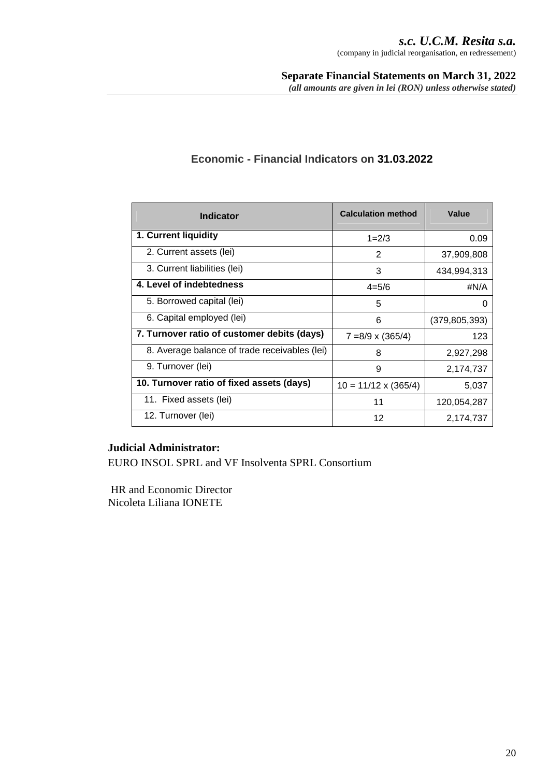| <b>Indicator</b>                              | <b>Calculation method</b>   | Value           |
|-----------------------------------------------|-----------------------------|-----------------|
| 1. Current liquidity                          | $1 = 2/3$                   | 0.09            |
| 2. Current assets (lei)                       | 2                           | 37,909,808      |
| 3. Current liabilities (lei)                  | 3                           | 434,994,313     |
| 4. Level of indebtedness                      | $4 = 5/6$                   | #N/A            |
| 5. Borrowed capital (lei)                     | 5                           | 0               |
| 6. Capital employed (lei)                     | 6                           | (379, 805, 393) |
| 7. Turnover ratio of customer debits (days)   | $7 = 8/9 \times (365/4)$    | 123             |
| 8. Average balance of trade receivables (lei) | 8                           | 2,927,298       |
| 9. Turnover (lei)                             | 9                           | 2,174,737       |
| 10. Turnover ratio of fixed assets (days)     | $10 = 11/12 \times (365/4)$ | 5,037           |
| 11. Fixed assets (lei)                        | 11                          | 120,054,287     |
| 12. Turnover (lei)                            | 12                          | 2,174,737       |

# **Economic - Financial Indicators on 31.03.2022**

# **Judicial Administrator:**

EURO INSOL SPRL and VF Insolventa SPRL Consortium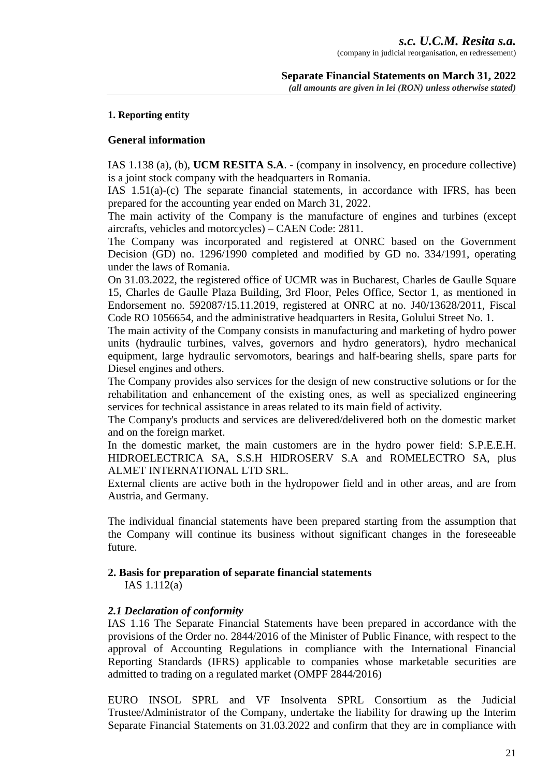#### **1. Reporting entity**

#### **General information**

IAS 1.138 (a), (b), **UCM RESITA S.A**. - (company in insolvency, en procedure collective) is a joint stock company with the headquarters in Romania.

IAS 1.51(a)-(c) The separate financial statements, in accordance with IFRS, has been prepared for the accounting year ended on March 31, 2022.

The main activity of the Company is the manufacture of engines and turbines (except aircrafts, vehicles and motorcycles) – CAEN Code: 2811.

The Company was incorporated and registered at ONRC based on the Government Decision (GD) no. 1296/1990 completed and modified by GD no. 334/1991, operating under the laws of Romania.

On 31.03.2022, the registered office of UCMR was in Bucharest, Charles de Gaulle Square 15, Charles de Gaulle Plaza Building, 3rd Floor, Peles Office, Sector 1, as mentioned in Endorsement no. 592087/15.11.2019, registered at ONRC at no. J40/13628/2011, Fiscal Code RO 1056654, and the administrative headquarters in Resita, Golului Street No. 1.

The main activity of the Company consists in manufacturing and marketing of hydro power units (hydraulic turbines, valves, governors and hydro generators), hydro mechanical equipment, large hydraulic servomotors, bearings and half-bearing shells, spare parts for Diesel engines and others.

The Company provides also services for the design of new constructive solutions or for the rehabilitation and enhancement of the existing ones, as well as specialized engineering services for technical assistance in areas related to its main field of activity.

The Company's products and services are delivered/delivered both on the domestic market and on the foreign market.

In the domestic market, the main customers are in the hydro power field: S.P.E.E.H. HIDROELECTRICA SA, S.S.H HIDROSERV S.A and ROMELECTRO SA, plus ALMET INTERNATIONAL LTD SRL.

External clients are active both in the hydropower field and in other areas, and are from Austria, and Germany.

The individual financial statements have been prepared starting from the assumption that the Company will continue its business without significant changes in the foreseeable future.

# **2. Basis for preparation of separate financial statements**

IAS 1.112(a)

#### *2.1 Declaration of conformity*

IAS 1.16 The Separate Financial Statements have been prepared in accordance with the provisions of the Order no. 2844/2016 of the Minister of Public Finance, with respect to the approval of Accounting Regulations in compliance with the International Financial Reporting Standards (IFRS) applicable to companies whose marketable securities are admitted to trading on a regulated market (OMPF 2844/2016)

EURO INSOL SPRL and VF Insolventa SPRL Consortium as the Judicial Trustee/Administrator of the Company, undertake the liability for drawing up the Interim Separate Financial Statements on 31.03.2022 and confirm that they are in compliance with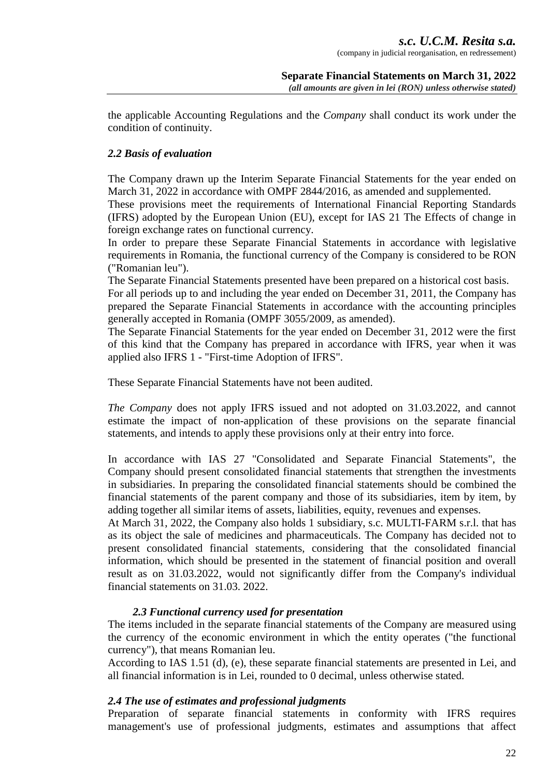the applicable Accounting Regulations and the *Company* shall conduct its work under the condition of continuity.

# *2.2 Basis of evaluation*

The Company drawn up the Interim Separate Financial Statements for the year ended on March 31, 2022 in accordance with OMPF 2844/2016, as amended and supplemented.

These provisions meet the requirements of International Financial Reporting Standards (IFRS) adopted by the European Union (EU), except for IAS 21 The Effects of change in foreign exchange rates on functional currency.

In order to prepare these Separate Financial Statements in accordance with legislative requirements in Romania, the functional currency of the Company is considered to be RON ("Romanian leu").

The Separate Financial Statements presented have been prepared on a historical cost basis.

For all periods up to and including the year ended on December 31, 2011, the Company has prepared the Separate Financial Statements in accordance with the accounting principles generally accepted in Romania (OMPF 3055/2009, as amended).

The Separate Financial Statements for the year ended on December 31, 2012 were the first of this kind that the Company has prepared in accordance with IFRS, year when it was applied also IFRS 1 - "First-time Adoption of IFRS".

These Separate Financial Statements have not been audited.

*The Company* does not apply IFRS issued and not adopted on 31.03.2022, and cannot estimate the impact of non-application of these provisions on the separate financial statements, and intends to apply these provisions only at their entry into force.

In accordance with IAS 27 "Consolidated and Separate Financial Statements", the Company should present consolidated financial statements that strengthen the investments in subsidiaries. In preparing the consolidated financial statements should be combined the financial statements of the parent company and those of its subsidiaries, item by item, by adding together all similar items of assets, liabilities, equity, revenues and expenses.

At March 31, 2022, the Company also holds 1 subsidiary, s.c. MULTI-FARM s.r.l. that has as its object the sale of medicines and pharmaceuticals. The Company has decided not to present consolidated financial statements, considering that the consolidated financial information, which should be presented in the statement of financial position and overall result as on 31.03.2022, would not significantly differ from the Company's individual financial statements on 31.03. 2022.

# *2.3 Functional currency used for presentation*

The items included in the separate financial statements of the Company are measured using the currency of the economic environment in which the entity operates ("the functional currency"), that means Romanian leu.

According to IAS 1.51 (d), (e), these separate financial statements are presented in Lei, and all financial information is in Lei, rounded to 0 decimal, unless otherwise stated.

# *2.4 The use of estimates and professional judgments*

Preparation of separate financial statements in conformity with IFRS requires management's use of professional judgments, estimates and assumptions that affect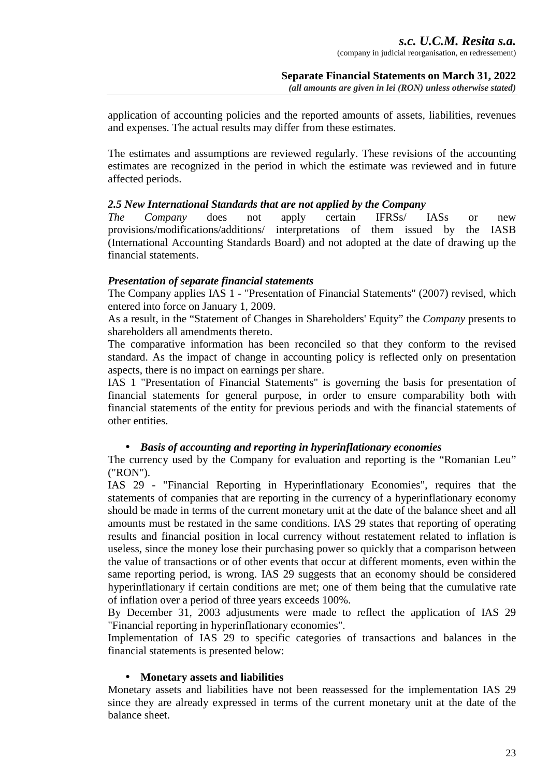application of accounting policies and the reported amounts of assets, liabilities, revenues and expenses. The actual results may differ from these estimates.

The estimates and assumptions are reviewed regularly. These revisions of the accounting estimates are recognized in the period in which the estimate was reviewed and in future affected periods.

#### *2.5 New International Standards that are not applied by the Company*

*The Company* does not apply certain IFRSs/ IASs or new provisions/modifications/additions/ interpretations of them issued by the IASB (International Accounting Standards Board) and not adopted at the date of drawing up the financial statements.

#### *Presentation of separate financial statements*

The Company applies IAS 1 - "Presentation of Financial Statements" (2007) revised, which entered into force on January 1, 2009.

As a result, in the "Statement of Changes in Shareholders' Equity" the *Company* presents to shareholders all amendments thereto.

The comparative information has been reconciled so that they conform to the revised standard. As the impact of change in accounting policy is reflected only on presentation aspects, there is no impact on earnings per share.

IAS 1 "Presentation of Financial Statements" is governing the basis for presentation of financial statements for general purpose, in order to ensure comparability both with financial statements of the entity for previous periods and with the financial statements of other entities.

# • *Basis of accounting and reporting in hyperinflationary economies*

The currency used by the Company for evaluation and reporting is the "Romanian Leu" ("RON").

IAS 29 - "Financial Reporting in Hyperinflationary Economies", requires that the statements of companies that are reporting in the currency of a hyperinflationary economy should be made in terms of the current monetary unit at the date of the balance sheet and all amounts must be restated in the same conditions. IAS 29 states that reporting of operating results and financial position in local currency without restatement related to inflation is useless, since the money lose their purchasing power so quickly that a comparison between the value of transactions or of other events that occur at different moments, even within the same reporting period, is wrong. IAS 29 suggests that an economy should be considered hyperinflationary if certain conditions are met; one of them being that the cumulative rate of inflation over a period of three years exceeds 100%.

By December 31, 2003 adjustments were made to reflect the application of IAS 29 "Financial reporting in hyperinflationary economies".

Implementation of IAS 29 to specific categories of transactions and balances in the financial statements is presented below:

#### • **Monetary assets and liabilities**

Monetary assets and liabilities have not been reassessed for the implementation IAS 29 since they are already expressed in terms of the current monetary unit at the date of the balance sheet.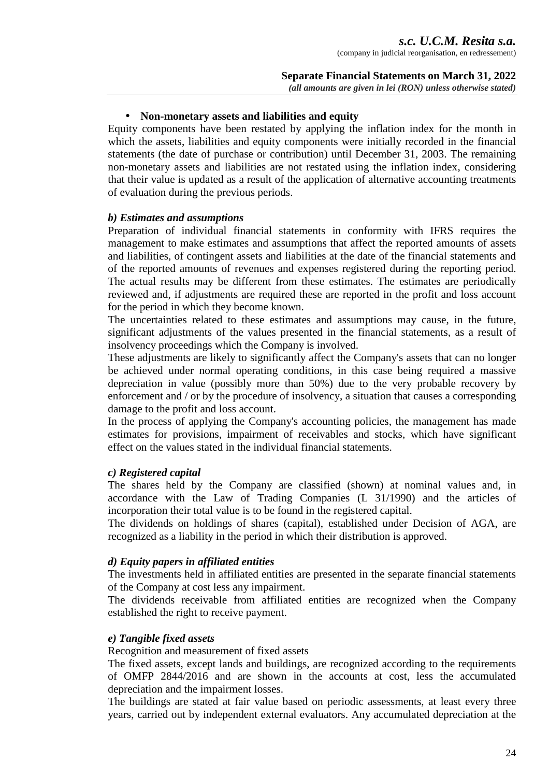*s.c. U.C.M. Resita s.a.* 

(company in judicial reorganisation, en redressement)

#### **Separate Financial Statements on March 31, 2022** *(all amounts are given in lei (RON) unless otherwise stated)*

#### • **Non-monetary assets and liabilities and equity**

Equity components have been restated by applying the inflation index for the month in which the assets, liabilities and equity components were initially recorded in the financial statements (the date of purchase or contribution) until December 31, 2003. The remaining non-monetary assets and liabilities are not restated using the inflation index, considering that their value is updated as a result of the application of alternative accounting treatments of evaluation during the previous periods.

#### *b) Estimates and assumptions*

Preparation of individual financial statements in conformity with IFRS requires the management to make estimates and assumptions that affect the reported amounts of assets and liabilities, of contingent assets and liabilities at the date of the financial statements and of the reported amounts of revenues and expenses registered during the reporting period. The actual results may be different from these estimates. The estimates are periodically reviewed and, if adjustments are required these are reported in the profit and loss account for the period in which they become known.

The uncertainties related to these estimates and assumptions may cause, in the future, significant adjustments of the values presented in the financial statements, as a result of insolvency proceedings which the Company is involved.

These adjustments are likely to significantly affect the Company's assets that can no longer be achieved under normal operating conditions, in this case being required a massive depreciation in value (possibly more than 50%) due to the very probable recovery by enforcement and / or by the procedure of insolvency, a situation that causes a corresponding damage to the profit and loss account.

In the process of applying the Company's accounting policies, the management has made estimates for provisions, impairment of receivables and stocks, which have significant effect on the values stated in the individual financial statements.

#### *c) Registered capital*

The shares held by the Company are classified (shown) at nominal values and, in accordance with the Law of Trading Companies (L 31/1990) and the articles of incorporation their total value is to be found in the registered capital.

The dividends on holdings of shares (capital), established under Decision of AGA, are recognized as a liability in the period in which their distribution is approved.

#### *d) Equity papers in affiliated entities*

The investments held in affiliated entities are presented in the separate financial statements of the Company at cost less any impairment.

The dividends receivable from affiliated entities are recognized when the Company established the right to receive payment.

#### *e) Tangible fixed assets*

Recognition and measurement of fixed assets

The fixed assets, except lands and buildings, are recognized according to the requirements of OMFP 2844/2016 and are shown in the accounts at cost, less the accumulated depreciation and the impairment losses.

The buildings are stated at fair value based on periodic assessments, at least every three years, carried out by independent external evaluators. Any accumulated depreciation at the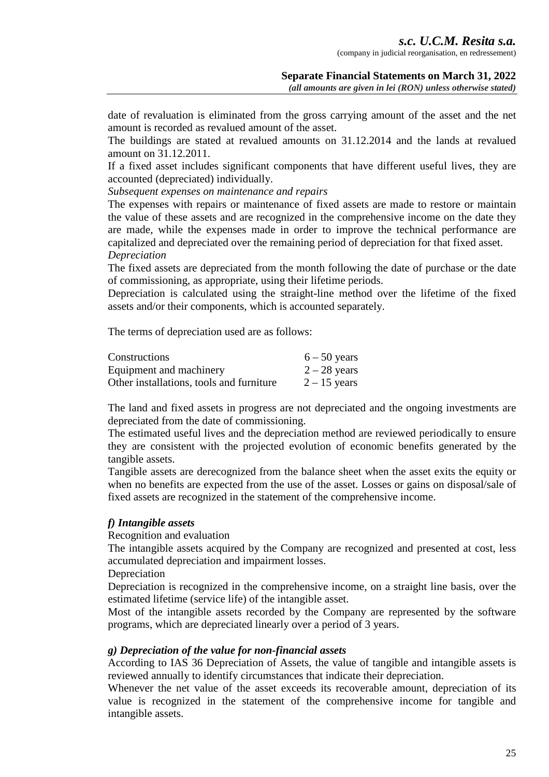date of revaluation is eliminated from the gross carrying amount of the asset and the net amount is recorded as revalued amount of the asset.

The buildings are stated at revalued amounts on 31.12.2014 and the lands at revalued amount on 31.12.2011.

If a fixed asset includes significant components that have different useful lives, they are accounted (depreciated) individually.

*Subsequent expenses on maintenance and repairs* 

The expenses with repairs or maintenance of fixed assets are made to restore or maintain the value of these assets and are recognized in the comprehensive income on the date they are made, while the expenses made in order to improve the technical performance are capitalized and depreciated over the remaining period of depreciation for that fixed asset. *Depreciation* 

The fixed assets are depreciated from the month following the date of purchase or the date of commissioning, as appropriate, using their lifetime periods.

Depreciation is calculated using the straight-line method over the lifetime of the fixed assets and/or their components, which is accounted separately.

The terms of depreciation used are as follows:

| Constructions                            | $6 - 50$ years |
|------------------------------------------|----------------|
| Equipment and machinery                  | $2 - 28$ years |
| Other installations, tools and furniture | $2 - 15$ years |

The land and fixed assets in progress are not depreciated and the ongoing investments are depreciated from the date of commissioning.

The estimated useful lives and the depreciation method are reviewed periodically to ensure they are consistent with the projected evolution of economic benefits generated by the tangible assets.

Tangible assets are derecognized from the balance sheet when the asset exits the equity or when no benefits are expected from the use of the asset. Losses or gains on disposal/sale of fixed assets are recognized in the statement of the comprehensive income.

#### *f) Intangible assets*

Recognition and evaluation

The intangible assets acquired by the Company are recognized and presented at cost, less accumulated depreciation and impairment losses.

**Depreciation** 

Depreciation is recognized in the comprehensive income, on a straight line basis, over the estimated lifetime (service life) of the intangible asset.

Most of the intangible assets recorded by the Company are represented by the software programs, which are depreciated linearly over a period of 3 years.

#### *g) Depreciation of the value for non-financial assets*

According to IAS 36 Depreciation of Assets, the value of tangible and intangible assets is reviewed annually to identify circumstances that indicate their depreciation.

Whenever the net value of the asset exceeds its recoverable amount, depreciation of its value is recognized in the statement of the comprehensive income for tangible and intangible assets.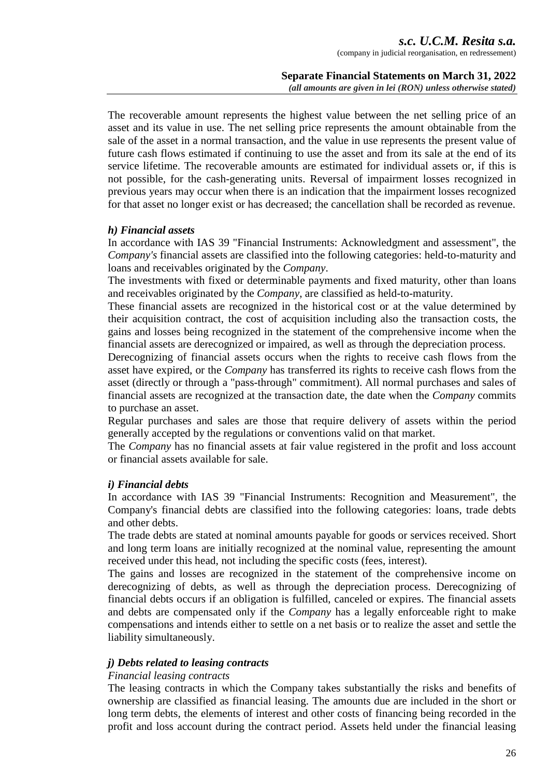#### **Separate Financial Statements on March 31, 2022** *(all amounts are given in lei (RON) unless otherwise stated)*

The recoverable amount represents the highest value between the net selling price of an asset and its value in use. The net selling price represents the amount obtainable from the sale of the asset in a normal transaction, and the value in use represents the present value of future cash flows estimated if continuing to use the asset and from its sale at the end of its service lifetime. The recoverable amounts are estimated for individual assets or, if this is not possible, for the cash-generating units. Reversal of impairment losses recognized in previous years may occur when there is an indication that the impairment losses recognized for that asset no longer exist or has decreased; the cancellation shall be recorded as revenue.

#### *h) Financial assets*

In accordance with IAS 39 "Financial Instruments: Acknowledgment and assessment", the *Company's* financial assets are classified into the following categories: held-to-maturity and loans and receivables originated by the *Company*.

The investments with fixed or determinable payments and fixed maturity, other than loans and receivables originated by the *Company*, are classified as held-to-maturity.

These financial assets are recognized in the historical cost or at the value determined by their acquisition contract, the cost of acquisition including also the transaction costs, the gains and losses being recognized in the statement of the comprehensive income when the financial assets are derecognized or impaired, as well as through the depreciation process.

Derecognizing of financial assets occurs when the rights to receive cash flows from the asset have expired, or the *Company* has transferred its rights to receive cash flows from the asset (directly or through a "pass-through" commitment). All normal purchases and sales of financial assets are recognized at the transaction date, the date when the *Company* commits to purchase an asset.

Regular purchases and sales are those that require delivery of assets within the period generally accepted by the regulations or conventions valid on that market.

The *Company* has no financial assets at fair value registered in the profit and loss account or financial assets available for sale.

#### *i) Financial debts*

In accordance with IAS 39 "Financial Instruments: Recognition and Measurement", the Company's financial debts are classified into the following categories: loans, trade debts and other debts.

The trade debts are stated at nominal amounts payable for goods or services received. Short and long term loans are initially recognized at the nominal value, representing the amount received under this head, not including the specific costs (fees, interest).

The gains and losses are recognized in the statement of the comprehensive income on derecognizing of debts, as well as through the depreciation process. Derecognizing of financial debts occurs if an obligation is fulfilled, canceled or expires. The financial assets and debts are compensated only if the *Company* has a legally enforceable right to make compensations and intends either to settle on a net basis or to realize the asset and settle the liability simultaneously.

#### *j) Debts related to leasing contracts*

#### *Financial leasing contracts*

The leasing contracts in which the Company takes substantially the risks and benefits of ownership are classified as financial leasing. The amounts due are included in the short or long term debts, the elements of interest and other costs of financing being recorded in the profit and loss account during the contract period. Assets held under the financial leasing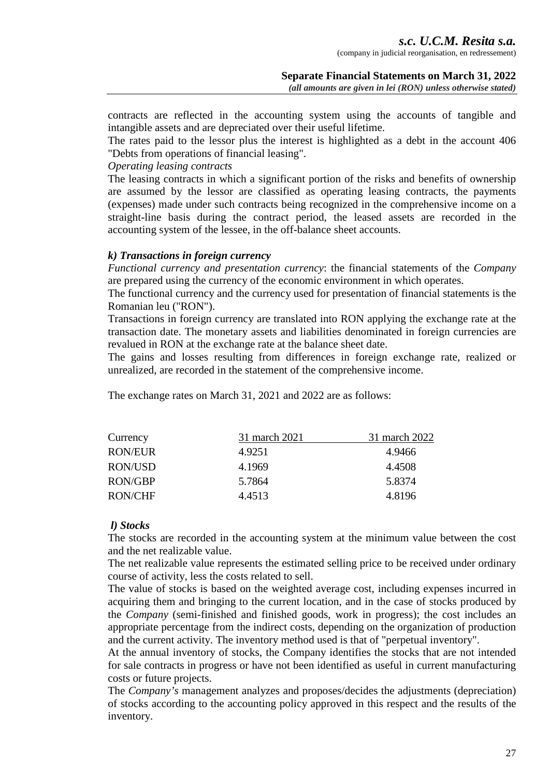contracts are reflected in the accounting system using the accounts of tangible and intangible assets and are depreciated over their useful lifetime.

The rates paid to the lessor plus the interest is highlighted as a debt in the account 406 "Debts from operations of financial leasing".

#### *Operating leasing contracts*

The leasing contracts in which a significant portion of the risks and benefits of ownership are assumed by the lessor are classified as operating leasing contracts, the payments (expenses) made under such contracts being recognized in the comprehensive income on a straight-line basis during the contract period, the leased assets are recorded in the accounting system of the lessee, in the off-balance sheet accounts.

#### *k) Transactions in foreign currency*

*Functional currency and presentation currency*: the financial statements of the *Company*  are prepared using the currency of the economic environment in which operates.

The functional currency and the currency used for presentation of financial statements is the Romanian leu ("RON").

Transactions in foreign currency are translated into RON applying the exchange rate at the transaction date. The monetary assets and liabilities denominated in foreign currencies are revalued in RON at the exchange rate at the balance sheet date.

The gains and losses resulting from differences in foreign exchange rate, realized or unrealized, are recorded in the statement of the comprehensive income.

The exchange rates on March 31, 2021 and 2022 are as follows:

| Currency       | 31 march 2021 | 31 march 2022 |
|----------------|---------------|---------------|
| <b>RON/EUR</b> | 4.9251        | 4.9466        |
| <b>RON/USD</b> | 4.1969        | 4.4508        |
| <b>RON/GBP</b> | 5.7864        | 5.8374        |
| RON/CHF        | 4.4513        | 4.8196        |

# *l) Stocks*

The stocks are recorded in the accounting system at the minimum value between the cost and the net realizable value.

The net realizable value represents the estimated selling price to be received under ordinary course of activity, less the costs related to sell.

The value of stocks is based on the weighted average cost, including expenses incurred in acquiring them and bringing to the current location, and in the case of stocks produced by the *Company* (semi-finished and finished goods, work in progress); the cost includes an appropriate percentage from the indirect costs, depending on the organization of production and the current activity. The inventory method used is that of "perpetual inventory".

At the annual inventory of stocks, the Company identifies the stocks that are not intended for sale contracts in progress or have not been identified as useful in current manufacturing costs or future projects.

The *Company's* management analyzes and proposes/decides the adjustments (depreciation) of stocks according to the accounting policy approved in this respect and the results of the inventory.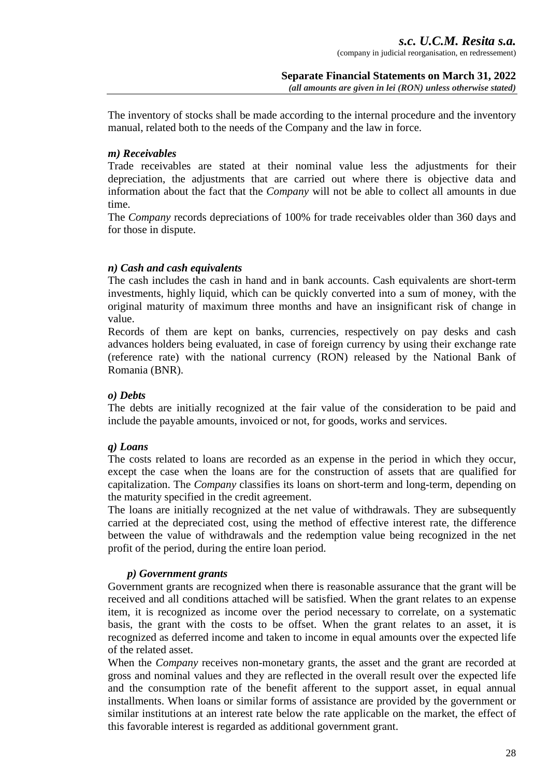The inventory of stocks shall be made according to the internal procedure and the inventory manual, related both to the needs of the Company and the law in force.

#### *m) Receivables*

Trade receivables are stated at their nominal value less the adjustments for their depreciation, the adjustments that are carried out where there is objective data and information about the fact that the *Company* will not be able to collect all amounts in due time.

The *Company* records depreciations of 100% for trade receivables older than 360 days and for those in dispute.

#### *n) Cash and cash equivalents*

The cash includes the cash in hand and in bank accounts. Cash equivalents are short-term investments, highly liquid, which can be quickly converted into a sum of money, with the original maturity of maximum three months and have an insignificant risk of change in value.

Records of them are kept on banks, currencies, respectively on pay desks and cash advances holders being evaluated, in case of foreign currency by using their exchange rate (reference rate) with the national currency (RON) released by the National Bank of Romania (BNR).

#### *o) Debts*

The debts are initially recognized at the fair value of the consideration to be paid and include the payable amounts, invoiced or not, for goods, works and services.

# *q) Loans*

The costs related to loans are recorded as an expense in the period in which they occur, except the case when the loans are for the construction of assets that are qualified for capitalization. The *Company* classifies its loans on short-term and long-term, depending on the maturity specified in the credit agreement.

The loans are initially recognized at the net value of withdrawals. They are subsequently carried at the depreciated cost, using the method of effective interest rate, the difference between the value of withdrawals and the redemption value being recognized in the net profit of the period, during the entire loan period.

# *p) Government grants*

Government grants are recognized when there is reasonable assurance that the grant will be received and all conditions attached will be satisfied. When the grant relates to an expense item, it is recognized as income over the period necessary to correlate, on a systematic basis, the grant with the costs to be offset. When the grant relates to an asset, it is recognized as deferred income and taken to income in equal amounts over the expected life of the related asset.

When the *Company* receives non-monetary grants, the asset and the grant are recorded at gross and nominal values and they are reflected in the overall result over the expected life and the consumption rate of the benefit afferent to the support asset, in equal annual installments. When loans or similar forms of assistance are provided by the government or similar institutions at an interest rate below the rate applicable on the market, the effect of this favorable interest is regarded as additional government grant.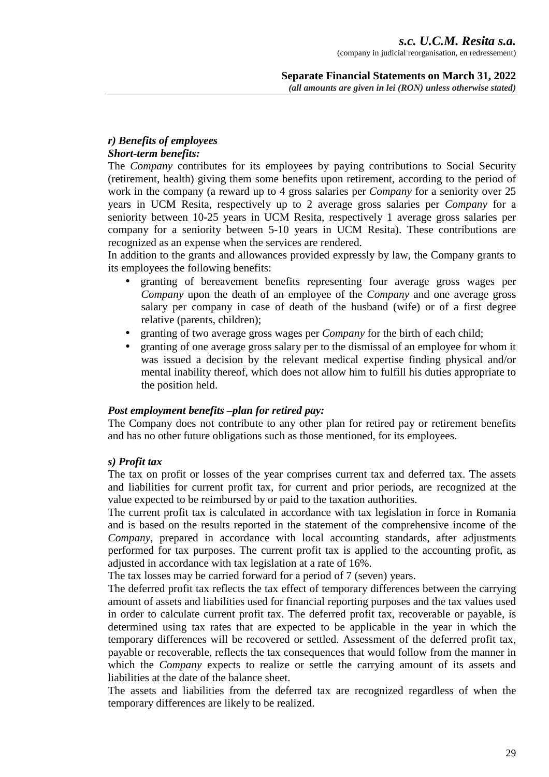#### *r) Benefits of employees Short-term benefits:*

The *Company* contributes for its employees by paying contributions to Social Security (retirement, health) giving them some benefits upon retirement, according to the period of work in the company (a reward up to 4 gross salaries per *Company* for a seniority over 25 years in UCM Resita, respectively up to 2 average gross salaries per *Company* for a seniority between 10-25 years in UCM Resita, respectively 1 average gross salaries per company for a seniority between 5-10 years in UCM Resita). These contributions are recognized as an expense when the services are rendered.

In addition to the grants and allowances provided expressly by law, the Company grants to its employees the following benefits:

- granting of bereavement benefits representing four average gross wages per *Company* upon the death of an employee of the *Company* and one average gross salary per company in case of death of the husband (wife) or of a first degree relative (parents, children);
- granting of two average gross wages per *Company* for the birth of each child;
- granting of one average gross salary per to the dismissal of an employee for whom it was issued a decision by the relevant medical expertise finding physical and/or mental inability thereof, which does not allow him to fulfill his duties appropriate to the position held.

# *Post employment benefits –plan for retired pay:*

The Company does not contribute to any other plan for retired pay or retirement benefits and has no other future obligations such as those mentioned, for its employees.

# *s) Profit tax*

The tax on profit or losses of the year comprises current tax and deferred tax. The assets and liabilities for current profit tax, for current and prior periods, are recognized at the value expected to be reimbursed by or paid to the taxation authorities.

The current profit tax is calculated in accordance with tax legislation in force in Romania and is based on the results reported in the statement of the comprehensive income of the *Company*, prepared in accordance with local accounting standards, after adjustments performed for tax purposes. The current profit tax is applied to the accounting profit, as adjusted in accordance with tax legislation at a rate of 16%.

The tax losses may be carried forward for a period of 7 (seven) years.

The deferred profit tax reflects the tax effect of temporary differences between the carrying amount of assets and liabilities used for financial reporting purposes and the tax values used in order to calculate current profit tax. The deferred profit tax, recoverable or payable, is determined using tax rates that are expected to be applicable in the year in which the temporary differences will be recovered or settled. Assessment of the deferred profit tax, payable or recoverable, reflects the tax consequences that would follow from the manner in which the *Company* expects to realize or settle the carrying amount of its assets and liabilities at the date of the balance sheet.

The assets and liabilities from the deferred tax are recognized regardless of when the temporary differences are likely to be realized.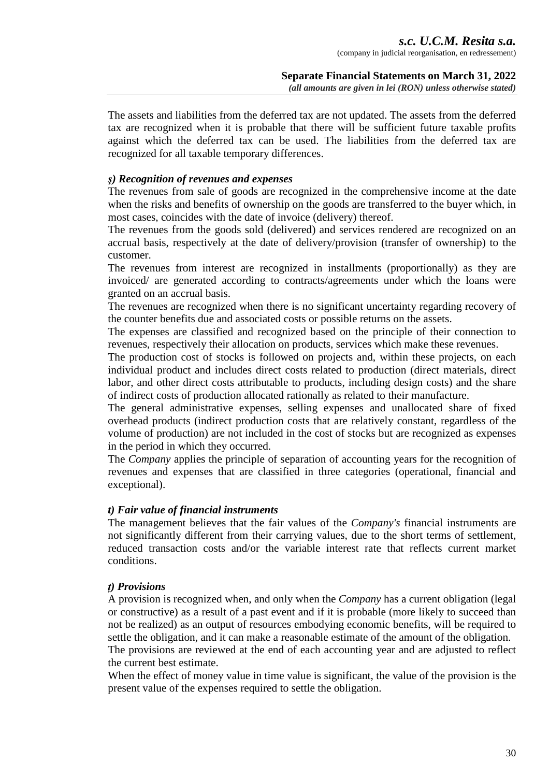The assets and liabilities from the deferred tax are not updated. The assets from the deferred tax are recognized when it is probable that there will be sufficient future taxable profits against which the deferred tax can be used. The liabilities from the deferred tax are recognized for all taxable temporary differences.

#### *ş) Recognition of revenues and expenses*

The revenues from sale of goods are recognized in the comprehensive income at the date when the risks and benefits of ownership on the goods are transferred to the buyer which, in most cases, coincides with the date of invoice (delivery) thereof.

The revenues from the goods sold (delivered) and services rendered are recognized on an accrual basis, respectively at the date of delivery/provision (transfer of ownership) to the customer.

The revenues from interest are recognized in installments (proportionally) as they are invoiced/ are generated according to contracts/agreements under which the loans were granted on an accrual basis.

The revenues are recognized when there is no significant uncertainty regarding recovery of the counter benefits due and associated costs or possible returns on the assets.

The expenses are classified and recognized based on the principle of their connection to revenues, respectively their allocation on products, services which make these revenues.

The production cost of stocks is followed on projects and, within these projects, on each individual product and includes direct costs related to production (direct materials, direct labor, and other direct costs attributable to products, including design costs) and the share of indirect costs of production allocated rationally as related to their manufacture.

The general administrative expenses, selling expenses and unallocated share of fixed overhead products (indirect production costs that are relatively constant, regardless of the volume of production) are not included in the cost of stocks but are recognized as expenses in the period in which they occurred.

The *Company* applies the principle of separation of accounting years for the recognition of revenues and expenses that are classified in three categories (operational, financial and exceptional).

#### *t) Fair value of financial instruments*

The management believes that the fair values of the *Company's* financial instruments are not significantly different from their carrying values, due to the short terms of settlement, reduced transaction costs and/or the variable interest rate that reflects current market conditions.

#### *ţ) Provisions*

A provision is recognized when, and only when the *Company* has a current obligation (legal or constructive) as a result of a past event and if it is probable (more likely to succeed than not be realized) as an output of resources embodying economic benefits, will be required to settle the obligation, and it can make a reasonable estimate of the amount of the obligation. The provisions are reviewed at the end of each accounting year and are adjusted to reflect

#### the current best estimate.

When the effect of money value in time value is significant, the value of the provision is the present value of the expenses required to settle the obligation.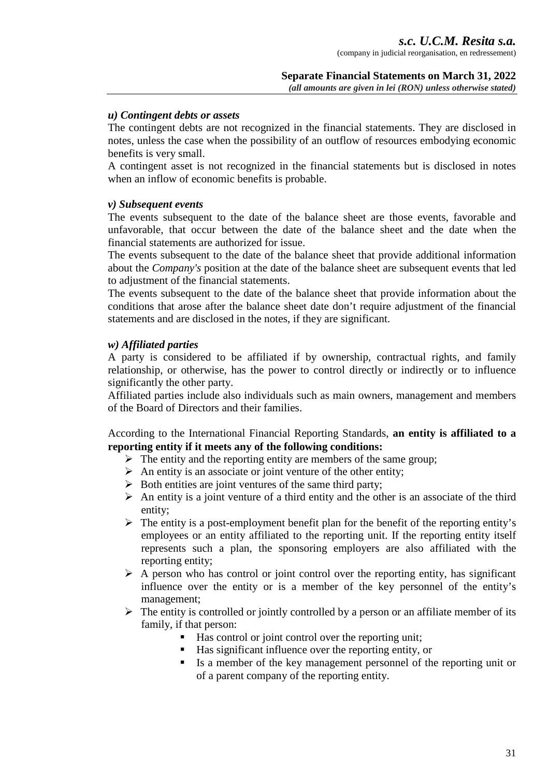#### *u) Contingent debts or assets*

The contingent debts are not recognized in the financial statements. They are disclosed in notes, unless the case when the possibility of an outflow of resources embodying economic benefits is very small.

A contingent asset is not recognized in the financial statements but is disclosed in notes when an inflow of economic benefits is probable.

#### *v) Subsequent events*

The events subsequent to the date of the balance sheet are those events, favorable and unfavorable, that occur between the date of the balance sheet and the date when the financial statements are authorized for issue.

The events subsequent to the date of the balance sheet that provide additional information about the *Company's* position at the date of the balance sheet are subsequent events that led to adjustment of the financial statements.

The events subsequent to the date of the balance sheet that provide information about the conditions that arose after the balance sheet date don't require adjustment of the financial statements and are disclosed in the notes, if they are significant.

#### *w) Affiliated parties*

A party is considered to be affiliated if by ownership, contractual rights, and family relationship, or otherwise, has the power to control directly or indirectly or to influence significantly the other party.

Affiliated parties include also individuals such as main owners, management and members of the Board of Directors and their families.

According to the International Financial Reporting Standards, **an entity is affiliated to a reporting entity if it meets any of the following conditions:** 

- > The entity and the reporting entity are members of the same group;
- $\triangleright$  An entity is an associate or joint venture of the other entity;
- > Both entities are joint ventures of the same third party;
- $\triangleright$  An entity is a joint venture of a third entity and the other is an associate of the third entity;
- > The entity is a post-employment benefit plan for the benefit of the reporting entity's employees or an entity affiliated to the reporting unit. If the reporting entity itself represents such a plan, the sponsoring employers are also affiliated with the reporting entity;
- $\triangleright$  A person who has control or joint control over the reporting entity, has significant influence over the entity or is a member of the key personnel of the entity's management;
- > The entity is controlled or jointly controlled by a person or an affiliate member of its family, if that person:
	- Has control or joint control over the reporting unit;
	- Has significant influence over the reporting entity, or
	- Is a member of the key management personnel of the reporting unit or of a parent company of the reporting entity.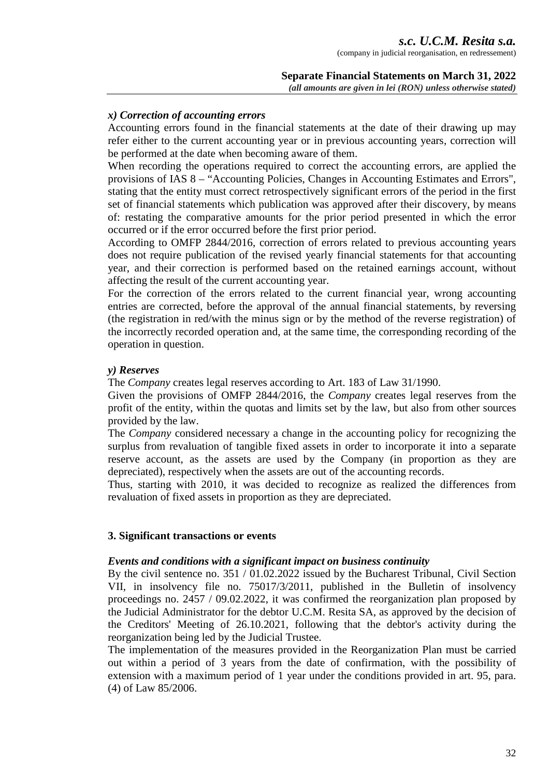#### **Separate Financial Statements on March 31, 2022** *(all amounts are given in lei (RON) unless otherwise stated)*

#### *x) Correction of accounting errors*

Accounting errors found in the financial statements at the date of their drawing up may refer either to the current accounting year or in previous accounting years, correction will be performed at the date when becoming aware of them.

When recording the operations required to correct the accounting errors, are applied the provisions of IAS 8 – "Accounting Policies, Changes in Accounting Estimates and Errors", stating that the entity must correct retrospectively significant errors of the period in the first set of financial statements which publication was approved after their discovery, by means of: restating the comparative amounts for the prior period presented in which the error occurred or if the error occurred before the first prior period.

According to OMFP 2844/2016, correction of errors related to previous accounting years does not require publication of the revised yearly financial statements for that accounting year, and their correction is performed based on the retained earnings account, without affecting the result of the current accounting year.

For the correction of the errors related to the current financial year, wrong accounting entries are corrected, before the approval of the annual financial statements, by reversing (the registration in red/with the minus sign or by the method of the reverse registration) of the incorrectly recorded operation and, at the same time, the corresponding recording of the operation in question.

#### *y) Reserves*

The *Company* creates legal reserves according to Art. 183 of Law 31/1990.

Given the provisions of OMFP 2844/2016, the *Company* creates legal reserves from the profit of the entity, within the quotas and limits set by the law, but also from other sources provided by the law.

The *Company* considered necessary a change in the accounting policy for recognizing the surplus from revaluation of tangible fixed assets in order to incorporate it into a separate reserve account, as the assets are used by the Company (in proportion as they are depreciated), respectively when the assets are out of the accounting records.

Thus, starting with 2010, it was decided to recognize as realized the differences from revaluation of fixed assets in proportion as they are depreciated.

#### **3. Significant transactions or events**

#### *Events and conditions with a significant impact on business continuity*

By the civil sentence no. 351 / 01.02.2022 issued by the Bucharest Tribunal, Civil Section VII, in insolvency file no. 75017/3/2011, published in the Bulletin of insolvency proceedings no. 2457 / 09.02.2022, it was confirmed the reorganization plan proposed by the Judicial Administrator for the debtor U.C.M. Resita SA, as approved by the decision of the Creditors' Meeting of 26.10.2021, following that the debtor's activity during the reorganization being led by the Judicial Trustee.

The implementation of the measures provided in the Reorganization Plan must be carried out within a period of 3 years from the date of confirmation, with the possibility of extension with a maximum period of 1 year under the conditions provided in art. 95, para. (4) of Law 85/2006.